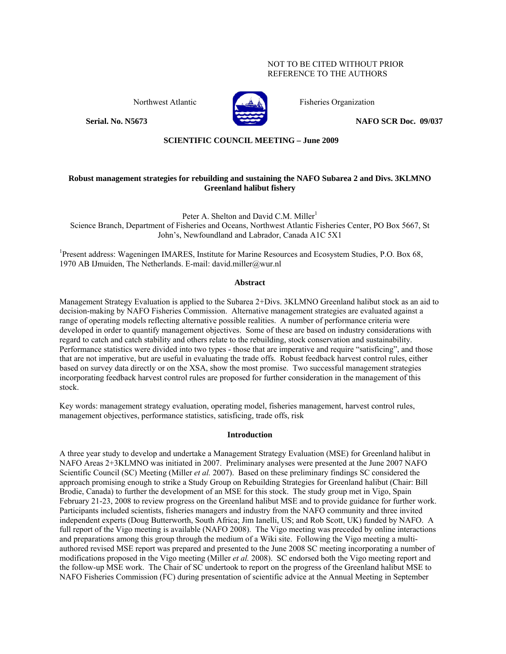# NOT TO BE CITED WITHOUT PRIOR REFERENCE TO THE AUTHORS



Northwest Atlantic **Fisheries Organization** 

**Serial. No. N5673 NAFO SCR Doc. 09/037** 

**SCIENTIFIC COUNCIL MEETING – June 2009**

# **Robust management strategies for rebuilding and sustaining the NAFO Subarea 2 and Divs. 3KLMNO Greenland halibut fishery**

Peter A. Shelton and David C.M. Miller<sup>1</sup> Science Branch, Department of Fisheries and Oceans, Northwest Atlantic Fisheries Center, PO Box 5667, St John's, Newfoundland and Labrador, Canada A1C 5X1

<sup>1</sup>Present address: Wageningen IMARES, Institute for Marine Resources and Ecosystem Studies, P.O. Box 68, 1970 AB IJmuiden, The Netherlands. E-mail: david.miller@wur.nl

# **Abstract**

Management Strategy Evaluation is applied to the Subarea 2+Divs. 3KLMNO Greenland halibut stock as an aid to decision-making by NAFO Fisheries Commission. Alternative management strategies are evaluated against a range of operating models reflecting alternative possible realities. A number of performance criteria were developed in order to quantify management objectives. Some of these are based on industry considerations with regard to catch and catch stability and others relate to the rebuilding, stock conservation and sustainability. Performance statistics were divided into two types - those that are imperative and require "satisficing", and those that are not imperative, but are useful in evaluating the trade offs. Robust feedback harvest control rules, either based on survey data directly or on the XSA, show the most promise. Two successful management strategies incorporating feedback harvest control rules are proposed for further consideration in the management of this stock.

Key words: management strategy evaluation, operating model, fisheries management, harvest control rules, management objectives, performance statistics, satisficing, trade offs, risk

# **Introduction**

A three year study to develop and undertake a Management Strategy Evaluation (MSE) for Greenland halibut in NAFO Areas 2+3KLMNO was initiated in 2007. Preliminary analyses were presented at the June 2007 NAFO Scientific Council (SC) Meeting (Miller *et al.* 2007). Based on these preliminary findings SC considered the approach promising enough to strike a Study Group on Rebuilding Strategies for Greenland halibut (Chair: Bill Brodie, Canada) to further the development of an MSE for this stock. The study group met in Vigo, Spain February 21-23, 2008 to review progress on the Greenland halibut MSE and to provide guidance for further work. Participants included scientists, fisheries managers and industry from the NAFO community and three invited independent experts (Doug Butterworth, South Africa; Jim Ianelli, US; and Rob Scott, UK) funded by NAFO. A full report of the Vigo meeting is available (NAFO 2008). The Vigo meeting was preceded by online interactions and preparations among this group through the medium of a Wiki site. Following the Vigo meeting a multiauthored revised MSE report was prepared and presented to the June 2008 SC meeting incorporating a number of modifications proposed in the Vigo meeting (Miller *et al.* 2008). SC endorsed both the Vigo meeting report and the follow-up MSE work. The Chair of SC undertook to report on the progress of the Greenland halibut MSE to NAFO Fisheries Commission (FC) during presentation of scientific advice at the Annual Meeting in September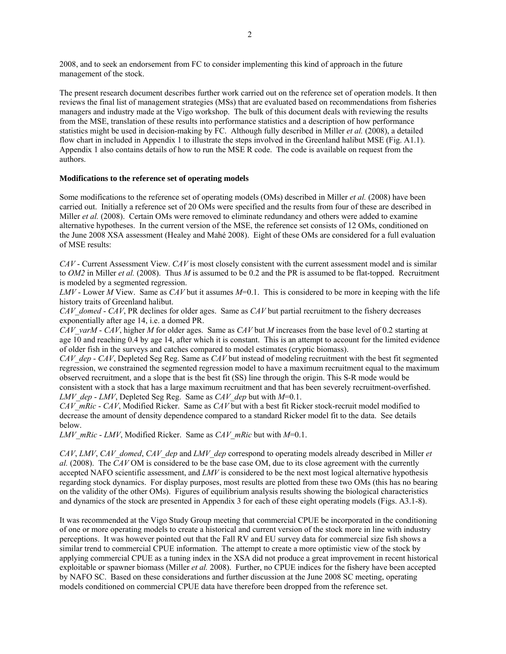2008, and to seek an endorsement from FC to consider implementing this kind of approach in the future management of the stock.

The present research document describes further work carried out on the reference set of operation models. It then reviews the final list of management strategies (MSs) that are evaluated based on recommendations from fisheries managers and industry made at the Vigo workshop. The bulk of this document deals with reviewing the results from the MSE, translation of these results into performance statistics and a description of how performance statistics might be used in decision-making by FC. Although fully described in Miller *et al.* (2008), a detailed flow chart in included in Appendix 1 to illustrate the steps involved in the Greenland halibut MSE (Fig. A1.1). Appendix 1 also contains details of how to run the MSE R code. The code is available on request from the authors.

# **Modifications to the reference set of operating models**

Some modifications to the reference set of operating models (OMs) described in Miller *et al.* (2008) have been carried out. Initially a reference set of 20 OMs were specified and the results from four of these are described in Miller *et al.* (2008). Certain OMs were removed to eliminate redundancy and others were added to examine alternative hypotheses. In the current version of the MSE, the reference set consists of 12 OMs, conditioned on the June 2008 XSA assessment (Healey and Mahé 2008). Eight of these OMs are considered for a full evaluation of MSE results:

*CAV* - Current Assessment View. *CAV* is most closely consistent with the current assessment model and is similar to *OM2* in Miller *et al.* (2008). Thus *M* is assumed to be 0.2 and the PR is assumed to be flat-topped. Recruitment is modeled by a segmented regression.

*LMV* - Lower *M* View. Same as *CAV* but it assumes *M*=0.1. This is considered to be more in keeping with the life history traits of Greenland halibut.

*CAV\_domed* - *CAV*, PR declines for older ages. Same as *CAV* but partial recruitment to the fishery decreases exponentially after age 14, i.e. a domed PR.

*CAV\_varM* - *CAV*, higher *M* for older ages. Same as *CAV* but *M* increases from the base level of 0.2 starting at age 10 and reaching 0.4 by age 14, after which it is constant. This is an attempt to account for the limited evidence of older fish in the surveys and catches compared to model estimates (cryptic biomass).

*CAV\_dep* - *CAV*, Depleted Seg Reg. Same as *CAV* but instead of modeling recruitment with the best fit segmented regression, we constrained the segmented regression model to have a maximum recruitment equal to the maximum observed recruitment, and a slope that is the best fit (SS) line through the origin. This S-R mode would be consistent with a stock that has a large maximum recruitment and that has been severely recruitment-overfished. *LMV\_dep* - *LMV*, Depleted Seg Reg. Same as *CAV\_dep* but with *M*=0.1.

*CAV\_mRic* - *CAV*, Modified Ricker. Same as *CAV* but with a best fit Ricker stock-recruit model modified to decrease the amount of density dependence compared to a standard Ricker model fit to the data. See details below.

*LMV\_mRic* - *LMV*, Modified Ricker. Same as *CAV\_mRic* but with *M*=0.1.

*CAV*, *LMV*, *CAV\_domed*, *CAV\_dep* and *LMV\_dep* correspond to operating models already described in Miller *et al.* (2008). The *CAV* OM is considered to be the base case OM, due to its close agreement with the currently accepted NAFO scientific assessment, and *LMV* is considered to be the next most logical alternative hypothesis regarding stock dynamics. For display purposes, most results are plotted from these two OMs (this has no bearing on the validity of the other OMs). Figures of equilibrium analysis results showing the biological characteristics and dynamics of the stock are presented in Appendix 3 for each of these eight operating models (Figs. A3.1-8).

It was recommended at the Vigo Study Group meeting that commercial CPUE be incorporated in the conditioning of one or more operating models to create a historical and current version of the stock more in line with industry perceptions. It was however pointed out that the Fall RV and EU survey data for commercial size fish shows a similar trend to commercial CPUE information. The attempt to create a more optimistic view of the stock by applying commercial CPUE as a tuning index in the XSA did not produce a great improvement in recent historical exploitable or spawner biomass (Miller *et al.* 2008). Further, no CPUE indices for the fishery have been accepted by NAFO SC. Based on these considerations and further discussion at the June 2008 SC meeting, operating models conditioned on commercial CPUE data have therefore been dropped from the reference set.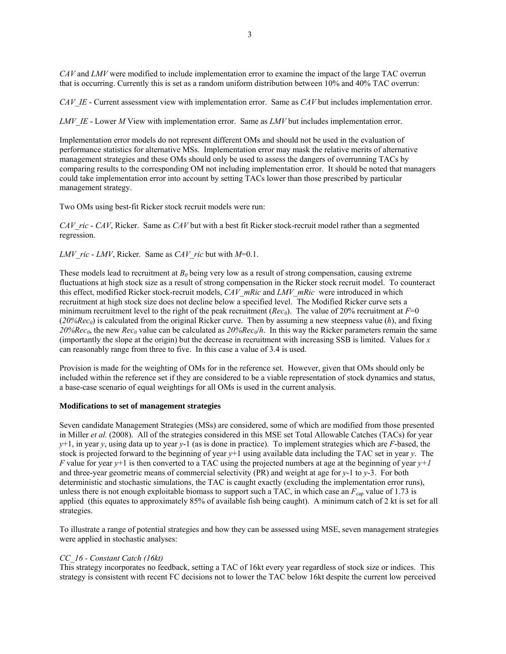*CAV* and *LMV* were modified to include implementation error to examine the impact of the large TAC overrun that is occurring. Currently this is set as a random uniform distribution between 10% and 40% TAC overrun:

*CAV\_IE* - Current assessment view with implementation error. Same as *CAV* but includes implementation error.

*LMV\_IE* - Lower *M* View with implementation error. Same as *LMV* but includes implementation error.

Implementation error models do not represent different OMs and should not be used in the evaluation of performance statistics for alternative MSs. Implementation error may mask the relative merits of alternative management strategies and these OMs should only be used to assess the dangers of overrunning TACs by comparing results to the corresponding OM not including implementation error. It should be noted that managers could take implementation error into account by setting TACs lower than those prescribed by particular management strategy.

Two OMs using best-fit Ricker stock recruit models were run:

*CAV\_ric* - *CAV*, Ricker. Same as *CAV* but with a best fit Ricker stock-recruit model rather than a segmented regression.

*LMV\_ric* - *LMV*, Ricker. Same as *CAV\_ric* but with *M*=0.1.

These models lead to recruitment at  $B_0$  being very low as a result of strong compensation, causing extreme fluctuations at high stock size as a result of strong compensation in the Ricker stock recruit model. To counteract this effect, modified Ricker stock-recruit models, *CAV\_mRic* and *LMV\_mRic* were introduced in which recruitment at high stock size does not decline below a specified level. The Modified Ricker curve sets a minimum recruitment level to the right of the peak recruitment (*Rec<sub>0</sub>*). The value of 20% recruitment at  $F=0$  $(20\%Rec<sub>0</sub>)$  is calculated from the original Ricker curve. Then by assuming a new steepness value (*h*), and fixing  $20\%$ *Rec<sub>0</sub>*, the new *Rec<sub>0</sub>* value can be calculated as  $20\%$ *Rec<sub>0</sub>*/*h*. In this way the Ricker parameters remain the same (importantly the slope at the origin) but the decrease in recruitment with increasing SSB is limited. Values for *x* can reasonably range from three to five. In this case a value of 3.4 is used.

Provision is made for the weighting of OMs for in the reference set. However, given that OMs should only be included within the reference set if they are considered to be a viable representation of stock dynamics and status, a base-case scenario of equal weightings for all OMs is used in the current analysis.

## **Modifications to set of management strategies**

Seven candidate Management Strategies (MSs) are considered, some of which are modified from those presented in Miller *et al.* (2008). All of the strategies considered in this MSE set Total Allowable Catches (TACs) for year *y*+1, in year *y*, using data up to year *y*-1 (as is done in practice). To implement strategies which are *F*-based, the stock is projected forward to the beginning of year *y*+1 using available data including the TAC set in year *y*. The *F* value for year  $y+1$  is then converted to a TAC using the projected numbers at age at the beginning of year  $y+1$ and three-year geometric means of commercial selectivity (PR) and weight at age for *y*-1 to *y*-3. For both deterministic and stochastic simulations, the TAC is caught exactly (excluding the implementation error runs), unless there is not enough exploitable biomass to support such a TAC, in which case an  $F_{\text{can}}$  value of 1.73 is applied (this equates to approximately 85% of available fish being caught). A minimum catch of 2 kt is set for all strategies.

To illustrate a range of potential strategies and how they can be assessed using MSE, seven management strategies were applied in stochastic analyses:

# *CC\_16 - Constant Catch (16kt)*

This strategy incorporates no feedback, setting a TAC of 16kt every year regardless of stock size or indices. This strategy is consistent with recent FC decisions not to lower the TAC below 16kt despite the current low perceived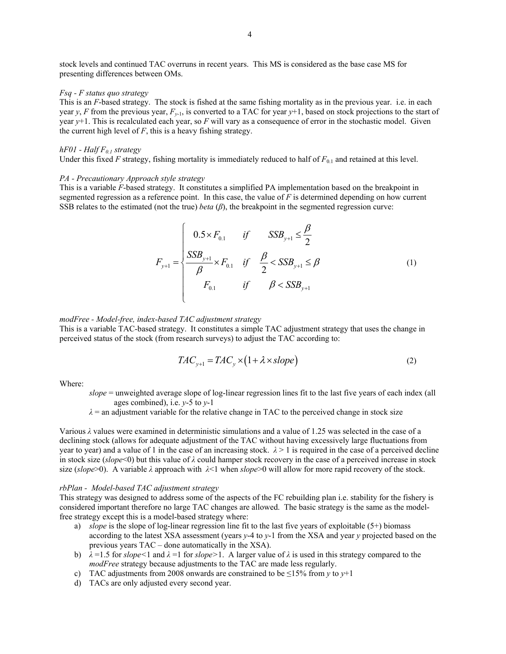stock levels and continued TAC overruns in recent years. This MS is considered as the base case MS for presenting differences between OMs.

### *Fsq - F status quo strategy*

This is an *F*-based strategy. The stock is fished at the same fishing mortality as in the previous year. i.e. in each year *y*, *F* from the previous year,  $F_{y-1}$ , is converted to a TAC for year  $y+1$ , based on stock projections to the start of year *y*+1. This is recalculated each year, so *F* will vary as a consequence of error in the stochastic model. Given the current high level of  $F$ , this is a heavy fishing strategy.

## *hF01* - *Half*  $F_{0,1}$  *strategy*

Under this fixed *F* strategy, fishing mortality is immediately reduced to half of  $F_{0,1}$  and retained at this level.

#### *PA - Precautionary Approach style strategy*

This is a variable *F*-based strategy. It constitutes a simplified PA implementation based on the breakpoint in segmented regression as a reference point. In this case, the value of *F* is determined depending on how current SSB relates to the estimated (not the true) *beta* (*β*), the breakpoint in the segmented regression curve:

$$
F_{y+1} = \begin{cases} 0.5 \times F_{0.1} & \text{if } SSB_{y+1} \le \frac{\beta}{2} \\ \frac{SSB_{y+1}}{\beta} \times F_{0.1} & \text{if } \frac{\beta}{2} < SSB_{y+1} \le \beta \\ F_{0.1} & \text{if } \beta < SSB_{y+1} \end{cases}
$$
 (1)

## *modFree - Model-free, index-based TAC adjustment strategy*

This is a variable TAC-based strategy. It constitutes a simple TAC adjustment strategy that uses the change in perceived status of the stock (from research surveys) to adjust the TAC according to:

$$
TAC_{y+1} = TAC_y \times (1 + \lambda \times slope)
$$
 (2)

Where:

- *slope* = unweighted average slope of log-linear regression lines fit to the last five years of each index (all ages combined), i.e. *y*-5 to *y*-1
	- $\lambda$  = an adjustment variable for the relative change in TAC to the perceived change in stock size

Various *λ* values were examined in deterministic simulations and a value of 1.25 was selected in the case of a declining stock (allows for adequate adjustment of the TAC without having excessively large fluctuations from year to year) and a value of 1 in the case of an increasing stock.  $\lambda > 1$  is required in the case of a perceived decline in stock size (*slope*<0) but this value of *λ* could hamper stock recovery in the case of a perceived increase in stock size (*slope*>0). A variable *λ* approach with *λ*<1 when *slope*>0 will allow for more rapid recovery of the stock.

## *rbPlan - Model-based TAC adjustment strategy*

This strategy was designed to address some of the aspects of the FC rebuilding plan i.e. stability for the fishery is considered important therefore no large TAC changes are allowed. The basic strategy is the same as the modelfree strategy except this is a model-based strategy where:

- a) *slope* is the slope of log-linear regression line fit to the last five years of exploitable (5+) biomass according to the latest XSA assessment (years *y*-4 to *y*-1 from the XSA and year *y* projected based on the previous years TAC – done automatically in the XSA).
- b) *λ* =1.5 for *slope<*1 and *λ* =1 for *slope>*1. A larger value of *λ* is used in this strategy compared to the *modFree* strategy because adjustments to the TAC are made less regularly.
- c) TAC adjustments from 2008 onwards are constrained to be  $\leq 15\%$  from *y* to *y*+1
- d) TACs are only adjusted every second year.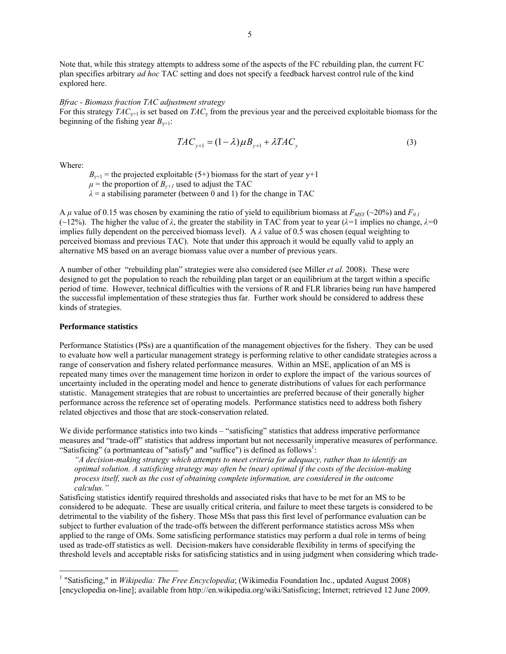Note that, while this strategy attempts to address some of the aspects of the FC rebuilding plan, the current FC plan specifies arbitrary *ad hoc* TAC setting and does not specify a feedback harvest control rule of the kind explored here.

#### *Bfrac - Biomass fraction TAC adjustment strategy*

For this strategy *TAC*<sub>y+1</sub> is set based on *TAC*<sub>y</sub> from the previous year and the perceived exploitable biomass for the beginning of the fishing year  $B_{v+1}$ :

$$
TAC_{y+1} = (1 - \lambda)\mu B_{y+1} + \lambda TAC_y \tag{3}
$$

Where:

 $B_{y+1}$  = the projected exploitable (5+) biomass for the start of year y+1

 $\mu$  = the proportion of  $B_{\nu+1}$  used to adjust the TAC

 $\lambda$  = a stabilising parameter (between 0 and 1) for the change in TAC

A  $\mu$  value of 0.15 was chosen by examining the ratio of yield to equilibrium biomass at  $F_{MSY}$  (~20%) and  $F_{0.1}$ (~12%). The higher the value of *λ*, the greater the stability in TAC from year to year (*λ=*1 implies no change, *λ=*0 implies fully dependent on the perceived biomass level). A  $\lambda$  value of 0.5 was chosen (equal weighting to perceived biomass and previous TAC). Note that under this approach it would be equally valid to apply an alternative MS based on an average biomass value over a number of previous years.

A number of other "rebuilding plan" strategies were also considered (see Miller *et al*. 2008). These were designed to get the population to reach the rebuilding plan target or an equilibrium at the target within a specific period of time. However, technical difficulties with the versions of R and FLR libraries being run have hampered the successful implementation of these strategies thus far. Further work should be considered to address these kinds of strategies.

#### **Performance statistics**

 $\overline{a}$ 

Performance Statistics (PSs) are a quantification of the management objectives for the fishery. They can be used to evaluate how well a particular management strategy is performing relative to other candidate strategies across a range of conservation and fishery related performance measures. Within an MSE, application of an MS is repeated many times over the management time horizon in order to explore the impact of the various sources of uncertainty included in the operating model and hence to generate distributions of values for each performance statistic. Management strategies that are robust to uncertainties are preferred because of their generally higher performance across the reference set of operating models. Performance statistics need to address both fishery related objectives and those that are stock-conservation related.

We divide performance statistics into two kinds – "satisficing" statistics that address imperative performance measures and "trade-off" statistics that address important but not necessarily imperative measures of performance. "Satisficing" (a portmanteau of "satisfy" and "suffice") is defined as follows<sup>1</sup>:

*"A decision-making strategy which attempts to meet criteria for adequacy, rather than to identify an optimal solution. A satisficing strategy may often be (near) optimal if the costs of the decision-making process itself, such as the cost of obtaining complete information, are considered in the outcome calculus."* 

Satisficing statistics identify required thresholds and associated risks that have to be met for an MS to be considered to be adequate. These are usually critical criteria, and failure to meet these targets is considered to be detrimental to the viability of the fishery. Those MSs that pass this first level of performance evaluation can be subject to further evaluation of the trade-offs between the different performance statistics across MSs when applied to the range of OMs. Some satisficing performance statistics may perform a dual role in terms of being used as trade-off statistics as well. Decision-makers have considerable flexibility in terms of specifying the threshold levels and acceptable risks for satisficing statistics and in using judgment when considering which trade-

<sup>&</sup>lt;sup>1</sup> "Satisficing," in *Wikipedia: The Free Encyclopedia*; (Wikimedia Foundation Inc., updated August 2008) [encyclopedia on-line]; available from http://en.wikipedia.org/wiki/Satisficing; Internet; retrieved 12 June 2009.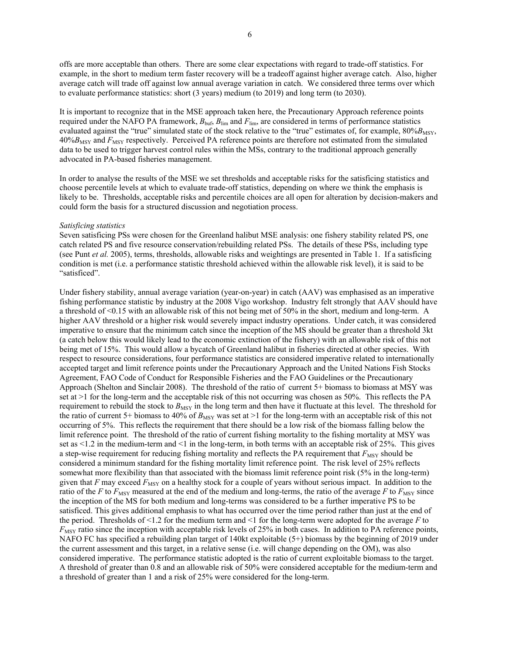offs are more acceptable than others. There are some clear expectations with regard to trade-off statistics. For example, in the short to medium term faster recovery will be a tradeoff against higher average catch. Also, higher average catch will trade off against low annual average variation in catch. We considered three terms over which to evaluate performance statistics: short (3 years) medium (to 2019) and long term (to 2030).

It is important to recognize that in the MSE approach taken here, the Precautionary Approach reference points required under the NAFO PA framework,  $B_{\text{buf}}$ ,  $B_{\text{lim}}$  and  $F_{\text{lim}}$ , are considered in terms of performance statistics evaluated against the "true" simulated state of the stock relative to the "true" estimates of, for example, 80%*B*<sub>MSY</sub>, 40%*B*<sub>MSY</sub> and *F*<sub>MSY</sub> respectively. Perceived PA reference points are therefore not estimated from the simulated data to be used to trigger harvest control rules within the MSs, contrary to the traditional approach generally advocated in PA-based fisheries management.

In order to analyse the results of the MSE we set thresholds and acceptable risks for the satisficing statistics and choose percentile levels at which to evaluate trade-off statistics, depending on where we think the emphasis is likely to be. Thresholds, acceptable risks and percentile choices are all open for alteration by decision-makers and could form the basis for a structured discussion and negotiation process.

#### *Satisficing statistics*

Seven satisficing PSs were chosen for the Greenland halibut MSE analysis: one fishery stability related PS, one catch related PS and five resource conservation/rebuilding related PSs. The details of these PSs, including type (see Punt *et al.* 2005), terms, thresholds, allowable risks and weightings are presented in Table 1. If a satisficing condition is met (i.e. a performance statistic threshold achieved within the allowable risk level), it is said to be "satisficed".

Under fishery stability, annual average variation (year-on-year) in catch (AAV) was emphasised as an imperative fishing performance statistic by industry at the 2008 Vigo workshop. Industry felt strongly that AAV should have a threshold of <0.15 with an allowable risk of this not being met of 50% in the short, medium and long-term. A higher AAV threshold or a higher risk would severely impact industry operations. Under catch, it was considered imperative to ensure that the minimum catch since the inception of the MS should be greater than a threshold 3kt (a catch below this would likely lead to the economic extinction of the fishery) with an allowable risk of this not being met of 15%. This would allow a bycatch of Greenland halibut in fisheries directed at other species. With respect to resource considerations, four performance statistics are considered imperative related to internationally accepted target and limit reference points under the Precautionary Approach and the United Nations Fish Stocks Agreement, FAO Code of Conduct for Responsible Fisheries and the FAO Guidelines or the Precautionary Approach (Shelton and Sinclair 2008). The threshold of the ratio of current 5+ biomass to biomass at MSY was set at >1 for the long-term and the acceptable risk of this not occurring was chosen as 50%. This reflects the PA requirement to rebuild the stock to  $B_{\text{MSY}}$  in the long term and then have it fluctuate at this level. The threshold for the ratio of current 5+ biomass to 40% of  $B_{\text{MSY}}$  was set at >1 for the long-term with an acceptable risk of this not occurring of 5%. This reflects the requirement that there should be a low risk of the biomass falling below the limit reference point. The threshold of the ratio of current fishing mortality to the fishing mortality at MSY was set as  $\leq$  1.2 in the medium-term and  $\leq$  1 in the long-term, in both terms with an acceptable risk of 25%. This gives a step-wise requirement for reducing fishing mortality and reflects the PA requirement that  $F_{\text{MSY}}$  should be considered a minimum standard for the fishing mortality limit reference point. The risk level of 25% reflects somewhat more flexibility than that associated with the biomass limit reference point risk (5% in the long-term) given that  $F$  may exceed  $F_{\text{MSY}}$  on a healthy stock for a couple of years without serious impact. In addition to the ratio of the *F* to  $F_{\text{MSY}}$  measured at the end of the medium and long-terms, the ratio of the average *F* to  $F_{\text{MSY}}$  since the inception of the MS for both medium and long-terms was considered to be a further imperative PS to be satisficed. This gives additional emphasis to what has occurred over the time period rather than just at the end of the period. Thresholds of <1.2 for the medium term and <1 for the long-term were adopted for the average *F* to *F*<sub>MSY</sub> ratio since the inception with acceptable risk levels of 25% in both cases. In addition to PA reference points, NAFO FC has specified a rebuilding plan target of 140kt exploitable (5+) biomass by the beginning of 2019 under the current assessment and this target, in a relative sense (i.e. will change depending on the OM), was also considered imperative. The performance statistic adopted is the ratio of current exploitable biomass to the target. A threshold of greater than 0.8 and an allowable risk of 50% were considered acceptable for the medium-term and a threshold of greater than 1 and a risk of 25% were considered for the long-term.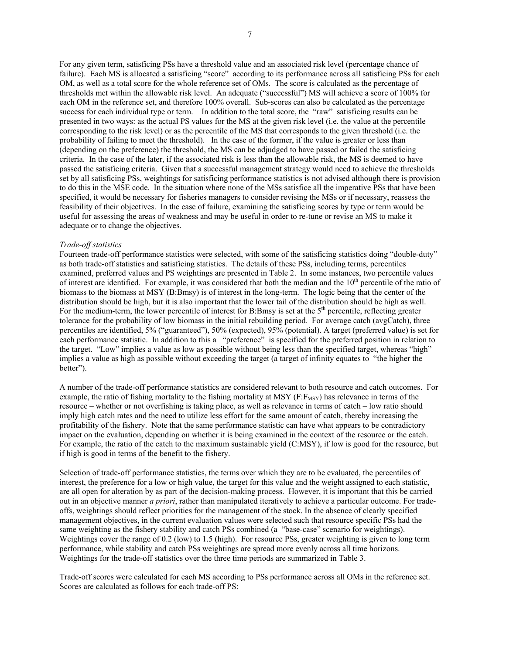For any given term, satisficing PSs have a threshold value and an associated risk level (percentage chance of failure). Each MS is allocated a satisficing "score" according to its performance across all satisficing PSs for each OM, as well as a total score for the whole reference set of OMs. The score is calculated as the percentage of thresholds met within the allowable risk level. An adequate ("successful") MS will achieve a score of 100% for each OM in the reference set, and therefore 100% overall. Sub-scores can also be calculated as the percentage success for each individual type or term. In addition to the total score, the "raw" satisficing results can be presented in two ways: as the actual PS values for the MS at the given risk level (i.e. the value at the percentile corresponding to the risk level) or as the percentile of the MS that corresponds to the given threshold (i.e. the probability of failing to meet the threshold). In the case of the former, if the value is greater or less than (depending on the preference) the threshold, the MS can be adjudged to have passed or failed the satisficing criteria. In the case of the later, if the associated risk is less than the allowable risk, the MS is deemed to have passed the satisficing criteria. Given that a successful management strategy would need to achieve the thresholds set by all satisficing PSs, weightings for satisficing performance statistics is not advised although there is provision to do this in the MSE code. In the situation where none of the MSs satisfice all the imperative PSs that have been specified, it would be necessary for fisheries managers to consider revising the MSs or if necessary, reassess the feasibility of their objectives. In the case of failure, examining the satisficing scores by type or term would be useful for assessing the areas of weakness and may be useful in order to re-tune or revise an MS to make it adequate or to change the objectives.

## *Trade-off statistics*

Fourteen trade-off performance statistics were selected, with some of the satisficing statistics doing "double-duty" as both trade-off statistics and satisficing statistics. The details of these PSs, including terms, percentiles examined, preferred values and PS weightings are presented in Table 2. In some instances, two percentile values of interest are identified. For example, it was considered that both the median and the  $10<sup>th</sup>$  percentile of the ratio of biomass to the biomass at MSY (B:Bmsy) is of interest in the long-term. The logic being that the center of the distribution should be high, but it is also important that the lower tail of the distribution should be high as well. For the medium-term, the lower percentile of interest for B:Bmsy is set at the  $5<sup>th</sup>$  percentile, reflecting greater tolerance for the probability of low biomass in the initial rebuilding period. For average catch (avgCatch), three percentiles are identified, 5% ("guaranteed"), 50% (expected), 95% (potential). A target (preferred value) is set for each performance statistic. In addition to this a "preference" is specified for the preferred position in relation to the target. "Low" implies a value as low as possible without being less than the specified target, whereas "high" implies a value as high as possible without exceeding the target (a target of infinity equates to "the higher the better").

A number of the trade-off performance statistics are considered relevant to both resource and catch outcomes. For example, the ratio of fishing mortality to the fishing mortality at MSY ( $F: F_{MSY}$ ) has relevance in terms of the resource – whether or not overfishing is taking place, as well as relevance in terms of catch – low ratio should imply high catch rates and the need to utilize less effort for the same amount of catch, thereby increasing the profitability of the fishery. Note that the same performance statistic can have what appears to be contradictory impact on the evaluation, depending on whether it is being examined in the context of the resource or the catch. For example, the ratio of the catch to the maximum sustainable yield (C:MSY), if low is good for the resource, but if high is good in terms of the benefit to the fishery.

Selection of trade-off performance statistics, the terms over which they are to be evaluated, the percentiles of interest, the preference for a low or high value, the target for this value and the weight assigned to each statistic, are all open for alteration by as part of the decision-making process. However, it is important that this be carried out in an objective manner *a priori*, rather than manipulated iteratively to achieve a particular outcome. For tradeoffs, weightings should reflect priorities for the management of the stock. In the absence of clearly specified management objectives, in the current evaluation values were selected such that resource specific PSs had the same weighting as the fishery stability and catch PSs combined (a "base-case" scenario for weightings). Weightings cover the range of 0.2 (low) to 1.5 (high). For resource PSs, greater weighting is given to long term performance, while stability and catch PSs weightings are spread more evenly across all time horizons. Weightings for the trade-off statistics over the three time periods are summarized in Table 3.

Trade-off scores were calculated for each MS according to PSs performance across all OMs in the reference set. Scores are calculated as follows for each trade-off PS: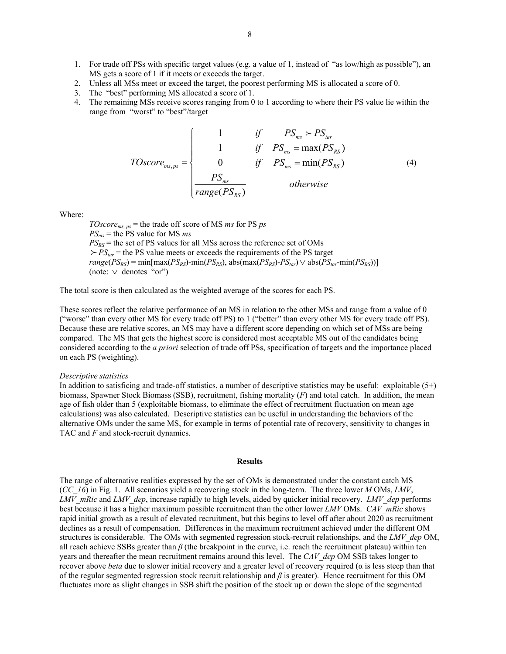- 1. For trade off PSs with specific target values (e.g. a value of 1, instead of "as low/high as possible"), an MS gets a score of 1 if it meets or exceeds the target.
- 2. Unless all MSs meet or exceed the target, the poorest performing MS is allocated a score of 0.
- 3. The "best" performing MS allocated a score of 1.
- 4. The remaining MSs receive scores ranging from 0 to 1 according to where their PS value lie within the range from "worst" to "best"/target

$$
TOscore_{ms,ps} = \begin{cases} 1 & \text{if } PS_{ms} > PS_{tar} \\ 1 & \text{if } PS_{ms} = max(PS_{RS}) \\ 0 & \text{if } PS_{ms} = min(PS_{RS}) \\ \frac{PS_{ms}}{range(PS_{RS})} & \text{otherwise} \end{cases}
$$
(4)

Where:

 $TOscore_{ms, ps}$  = the trade off score of MS *ms* for PS *ps PSms* = the PS value for MS *ms*  $PS_{RS}$  = the set of PS values for all MSs across the reference set of OMs  $F P S_{tar}$  = the PS value meets or exceeds the requirements of the PS target  $range(PS_{RS}) = min(max(PS_{RS}) - min(PS_{RS})$ , abs(max( $PS_{RS}$ )- $PS_{tar}$ )  $\vee$  abs( $PS_{tar}$ -min( $PS_{RS}$ ))] (note: ∨ denotes "or")

The total score is then calculated as the weighted average of the scores for each PS.

These scores reflect the relative performance of an MS in relation to the other MSs and range from a value of 0 ("worse" than every other MS for every trade off PS) to 1 ("better" than every other MS for every trade off PS). Because these are relative scores, an MS may have a different score depending on which set of MSs are being compared. The MS that gets the highest score is considered most acceptable MS out of the candidates being considered according to the *a priori* selection of trade off PSs, specification of targets and the importance placed on each PS (weighting).

#### *Descriptive statistics*

In addition to satisficing and trade-off statistics, a number of descriptive statistics may be useful: exploitable  $(5+)$ biomass, Spawner Stock Biomass (SSB), recruitment, fishing mortality (*F*) and total catch. In addition, the mean age of fish older than 5 (exploitable biomass, to eliminate the effect of recruitment fluctuation on mean age calculations) was also calculated. Descriptive statistics can be useful in understanding the behaviors of the alternative OMs under the same MS, for example in terms of potential rate of recovery, sensitivity to changes in TAC and *F* and stock-recruit dynamics.

#### **Results**

The range of alternative realities expressed by the set of OMs is demonstrated under the constant catch MS (*CC\_16*) in Fig. 1. All scenarios yield a recovering stock in the long-term. The three lower *M* OMs, *LMV*, *LMV\_mRic* and *LMV\_dep*, increase rapidly to high levels, aided by quicker initial recovery. *LMV\_dep* performs best because it has a higher maximum possible recruitment than the other lower *LMV* OMs. *CAV\_mRic* shows rapid initial growth as a result of elevated recruitment, but this begins to level off after about 2020 as recruitment declines as a result of compensation. Differences in the maximum recruitment achieved under the different OM structures is considerable. The OMs with segmented regression stock-recruit relationships, and the *LMV\_dep* OM, all reach achieve SSBs greater than *β* (the breakpoint in the curve, i.e. reach the recruitment plateau) within ten years and thereafter the mean recruitment remains around this level. The *CAV dep* OM SSB takes longer to recover above *beta* due to slower initial recovery and a greater level of recovery required ( $α$  is less steep than that of the regular segmented regression stock recruit relationship and *β* is greater). Hence recruitment for this OM fluctuates more as slight changes in SSB shift the position of the stock up or down the slope of the segmented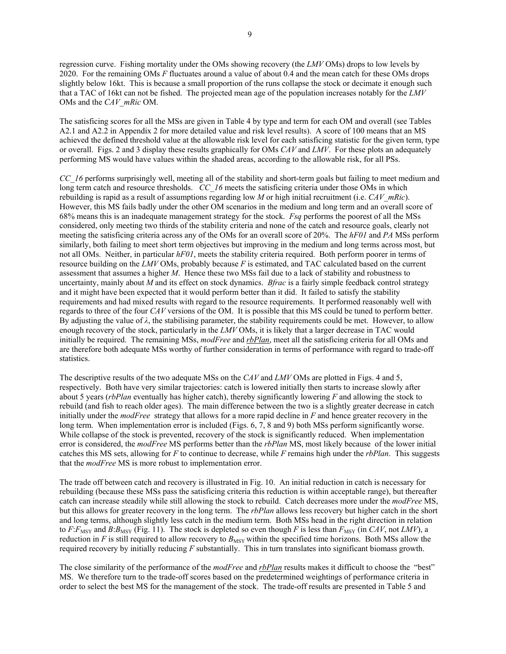9

regression curve. Fishing mortality under the OMs showing recovery (the *LMV* OMs) drops to low levels by 2020. For the remaining OMs *F* fluctuates around a value of about 0.4 and the mean catch for these OMs drops slightly below 16kt. This is because a small proportion of the runs collapse the stock or decimate it enough such that a TAC of 16kt can not be fished. The projected mean age of the population increases notably for the *LMV* OMs and the *CAV\_mRic* OM.

The satisficing scores for all the MSs are given in Table 4 by type and term for each OM and overall (see Tables A2.1 and A2.2 in Appendix 2 for more detailed value and risk level results). A score of 100 means that an MS achieved the defined threshold value at the allowable risk level for each satisficing statistic for the given term, type or overall. Figs. 2 and 3 display these results graphically for OMs *CAV* and *LMV*. For these plots an adequately performing MS would have values within the shaded areas, according to the allowable risk, for all PSs.

*CC\_16* performs surprisingly well, meeting all of the stability and short-term goals but failing to meet medium and long term catch and resource thresholds. *CC\_16* meets the satisficing criteria under those OMs in which rebuilding is rapid as a result of assumptions regarding low *M* or high initial recruitment (i.e. *CAV\_mRic*). However, this MS fails badly under the other OM scenarios in the medium and long term and an overall score of 68% means this is an inadequate management strategy for the stock. *Fsq* performs the poorest of all the MSs considered, only meeting two thirds of the stability criteria and none of the catch and resource goals, clearly not meeting the satisficing criteria across any of the OMs for an overall score of 20%. The *hF01* and *PA* MSs perform similarly, both failing to meet short term objectives but improving in the medium and long terms across most, but not all OMs. Neither, in particular *hF01*, meets the stability criteria required. Both perform poorer in terms of resource building on the *LMV* OMs, probably because *F* is estimated, and TAC calculated based on the current assessment that assumes a higher *M*. Hence these two MSs fail due to a lack of stability and robustness to uncertainty, mainly about *M* and its effect on stock dynamics. *Bfrac* is a fairly simple feedback control strategy and it might have been expected that it would perform better than it did. It failed to satisfy the stability requirements and had mixed results with regard to the resource requirements. It performed reasonably well with regards to three of the four *CAV* versions of the OM. It is possible that this MS could be tuned to perform better. By adjusting the value of  $\lambda$ , the stabilising parameter, the stability requirements could be met. However, to allow enough recovery of the stock, particularly in the *LMV* OMs, it is likely that a larger decrease in TAC would initially be required. The remaining MSs, *modFree* and *rbPlan*, meet all the satisficing criteria for all OMs and are therefore both adequate MSs worthy of further consideration in terms of performance with regard to trade-off statistics.

The descriptive results of the two adequate MSs on the *CAV* and *LMV* OMs are plotted in Figs. 4 and 5, respectively. Both have very similar trajectories: catch is lowered initially then starts to increase slowly after about 5 years (*rbPlan* eventually has higher catch), thereby significantly lowering *F* and allowing the stock to rebuild (and fish to reach older ages). The main difference between the two is a slightly greater decrease in catch initially under the *modFree* strategy that allows for a more rapid decline in *F* and hence greater recovery in the long term. When implementation error is included (Figs. 6, 7, 8 and 9) both MSs perform significantly worse. While collapse of the stock is prevented, recovery of the stock is significantly reduced. When implementation error is considered, the *modFree* MS performs better than the *rbPlan* MS, most likely because of the lower initial catches this MS sets, allowing for *F* to continue to decrease, while *F* remains high under the *rbPlan*. This suggests that the *modFree* MS is more robust to implementation error.

The trade off between catch and recovery is illustrated in Fig. 10. An initial reduction in catch is necessary for rebuilding (because these MSs pass the satisficing criteria this reduction is within acceptable range), but thereafter catch can increase steadily while still allowing the stock to rebuild. Catch decreases more under the *modFree* MS, but this allows for greater recovery in the long term. The *rbPlan* allows less recovery but higher catch in the short and long terms, although slightly less catch in the medium term. Both MSs head in the right direction in relation to  $F: F_{\text{MSY}}$  and  $B: B_{\text{MSY}}$  (Fig. 11). The stock is depleted so even though *F* is less than  $F_{\text{MSY}}$  (in *CAV*, not *LMV*), a reduction in  $F$  is still required to allow recovery to  $B_{\text{MSY}}$  within the specified time horizons. Both MSs allow the required recovery by initially reducing *F* substantially. This in turn translates into significant biomass growth.

The close similarity of the performance of the *modFree* and *rbPlan* results makes it difficult to choose the "best" MS. We therefore turn to the trade-off scores based on the predetermined weightings of performance criteria in order to select the best MS for the management of the stock. The trade-off results are presented in Table 5 and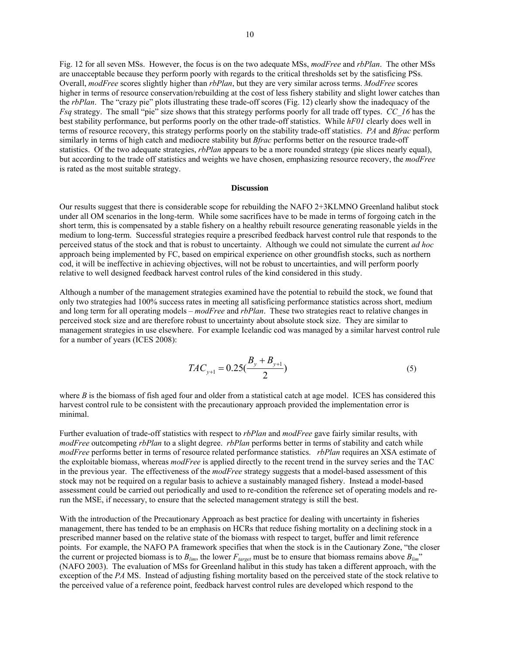Fig. 12 for all seven MSs. However, the focus is on the two adequate MSs, *modFree* and *rbPlan*. The other MSs are unacceptable because they perform poorly with regards to the critical thresholds set by the satisficing PSs. Overall, *modFree* scores slightly higher than *rbPlan*, but they are very similar across terms. *ModFree* scores higher in terms of resource conservation/rebuilding at the cost of less fishery stability and slight lower catches than the *rbPlan*. The "crazy pie" plots illustrating these trade-off scores (Fig. 12) clearly show the inadequacy of the *Fsq* strategy. The small "pie" size shows that this strategy performs poorly for all trade off types. *CC\_16* has the best stability performance, but performs poorly on the other trade-off statistics. While *hF01* clearly does well in terms of resource recovery, this strategy performs poorly on the stability trade-off statistics. *PA* and *Bfrac* perform similarly in terms of high catch and mediocre stability but *Bfrac* performs better on the resource trade-off statistics. Of the two adequate strategies, *rbPlan* appears to be a more rounded strategy (pie slices nearly equal), but according to the trade off statistics and weights we have chosen, emphasizing resource recovery, the *modFree* is rated as the most suitable strategy.

#### **Discussion**

Our results suggest that there is considerable scope for rebuilding the NAFO 2+3KLMNO Greenland halibut stock under all OM scenarios in the long-term. While some sacrifices have to be made in terms of forgoing catch in the short term, this is compensated by a stable fishery on a healthy rebuilt resource generating reasonable yields in the medium to long-term. Successful strategies require a prescribed feedback harvest control rule that responds to the perceived status of the stock and that is robust to uncertainty. Although we could not simulate the current *ad hoc* approach being implemented by FC, based on empirical experience on other groundfish stocks, such as northern cod, it will be ineffective in achieving objectives, will not be robust to uncertainties, and will perform poorly relative to well designed feedback harvest control rules of the kind considered in this study.

Although a number of the management strategies examined have the potential to rebuild the stock, we found that only two strategies had 100% success rates in meeting all satisficing performance statistics across short, medium and long term for all operating models – *modFree* and *rbPlan*. These two strategies react to relative changes in perceived stock size and are therefore robust to uncertainty about absolute stock size. They are similar to management strategies in use elsewhere. For example Icelandic cod was managed by a similar harvest control rule for a number of years (ICES 2008):

$$
TAC_{y+1} = 0.25\left(\frac{B_y + B_{y+1}}{2}\right) \tag{5}
$$

where  $B$  is the biomass of fish aged four and older from a statistical catch at age model. ICES has considered this harvest control rule to be consistent with the precautionary approach provided the implementation error is minimal.

Further evaluation of trade-off statistics with respect to *rbPlan* and *modFree* gave fairly similar results, with *modFree* outcompeting *rbPlan* to a slight degree. *rbPlan* performs better in terms of stability and catch while *modFree* performs better in terms of resource related performance statistics. *rbPlan* requires an XSA estimate of the exploitable biomass, whereas *modFree* is applied directly to the recent trend in the survey series and the TAC in the previous year. The effectiveness of the *modFree* strategy suggests that a model-based assessment of this stock may not be required on a regular basis to achieve a sustainably managed fishery. Instead a model-based assessment could be carried out periodically and used to re-condition the reference set of operating models and rerun the MSE, if necessary, to ensure that the selected management strategy is still the best.

With the introduction of the Precautionary Approach as best practice for dealing with uncertainty in fisheries management, there has tended to be an emphasis on HCRs that reduce fishing mortality on a declining stock in a prescribed manner based on the relative state of the biomass with respect to target, buffer and limit reference points. For example, the NAFO PA framework specifies that when the stock is in the Cautionary Zone, "the closer the current or projected biomass is to  $B_{lim}$ , the lower  $F_{target}$  must be to ensure that biomass remains above  $B_{lim}$ " (NAFO 2003). The evaluation of MSs for Greenland halibut in this study has taken a different approach, with the exception of the *PA* MS. Instead of adjusting fishing mortality based on the perceived state of the stock relative to the perceived value of a reference point, feedback harvest control rules are developed which respond to the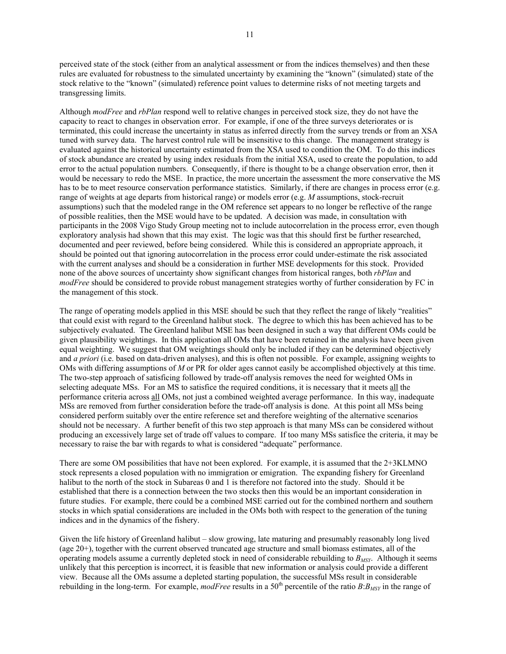perceived state of the stock (either from an analytical assessment or from the indices themselves) and then these rules are evaluated for robustness to the simulated uncertainty by examining the "known" (simulated) state of the stock relative to the "known" (simulated) reference point values to determine risks of not meeting targets and transgressing limits.

Although *modFree* and *rbPlan* respond well to relative changes in perceived stock size, they do not have the capacity to react to changes in observation error. For example, if one of the three surveys deteriorates or is terminated, this could increase the uncertainty in status as inferred directly from the survey trends or from an XSA tuned with survey data. The harvest control rule will be insensitive to this change. The management strategy is evaluated against the historical uncertainty estimated from the XSA used to condition the OM. To do this indices of stock abundance are created by using index residuals from the initial XSA, used to create the population, to add error to the actual population numbers. Consequently, if there is thought to be a change observation error, then it would be necessary to redo the MSE. In practice, the more uncertain the assessment the more conservative the MS has to be to meet resource conservation performance statistics. Similarly, if there are changes in process error (e.g. range of weights at age departs from historical range) or models error (e.g. *M* assumptions, stock-recruit assumptions) such that the modeled range in the OM reference set appears to no longer be reflective of the range of possible realities, then the MSE would have to be updated. A decision was made, in consultation with participants in the 2008 Vigo Study Group meeting not to include autocorrelation in the process error, even though exploratory analysis had shown that this may exist. The logic was that this should first be further researched, documented and peer reviewed, before being considered. While this is considered an appropriate approach, it should be pointed out that ignoring autocorrelation in the process error could under-estimate the risk associated with the current analyses and should be a consideration in further MSE developments for this stock. Provided none of the above sources of uncertainty show significant changes from historical ranges, both *rbPlan* and *modFree* should be considered to provide robust management strategies worthy of further consideration by FC in the management of this stock.

The range of operating models applied in this MSE should be such that they reflect the range of likely "realities" that could exist with regard to the Greenland halibut stock. The degree to which this has been achieved has to be subjectively evaluated. The Greenland halibut MSE has been designed in such a way that different OMs could be given plausibility weightings. In this application all OMs that have been retained in the analysis have been given equal weighting. We suggest that OM weightings should only be included if they can be determined objectively and *a priori* (i.e. based on data-driven analyses), and this is often not possible. For example, assigning weights to OMs with differing assumptions of *M* or PR for older ages cannot easily be accomplished objectively at this time. The two-step approach of satisficing followed by trade-off analysis removes the need for weighted OMs in selecting adequate MSs. For an MS to satisfice the required conditions, it is necessary that it meets all the performance criteria across all OMs, not just a combined weighted average performance. In this way, inadequate MSs are removed from further consideration before the trade-off analysis is done. At this point all MSs being considered perform suitably over the entire reference set and therefore weighting of the alternative scenarios should not be necessary. A further benefit of this two step approach is that many MSs can be considered without producing an excessively large set of trade off values to compare. If too many MSs satisfice the criteria, it may be necessary to raise the bar with regards to what is considered "adequate" performance.

There are some OM possibilities that have not been explored. For example, it is assumed that the 2+3KLMNO stock represents a closed population with no immigration or emigration. The expanding fishery for Greenland halibut to the north of the stock in Subareas 0 and 1 is therefore not factored into the study. Should it be established that there is a connection between the two stocks then this would be an important consideration in future studies. For example, there could be a combined MSE carried out for the combined northern and southern stocks in which spatial considerations are included in the OMs both with respect to the generation of the tuning indices and in the dynamics of the fishery.

Given the life history of Greenland halibut – slow growing, late maturing and presumably reasonably long lived (age 20+), together with the current observed truncated age structure and small biomass estimates, all of the operating models assume a currently depleted stock in need of considerable rebuilding to  $B_{MSY}$ . Although it seems unlikely that this perception is incorrect, it is feasible that new information or analysis could provide a different view. Because all the OMs assume a depleted starting population, the successful MSs result in considerable rebuilding in the long-term. For example, *modFree* results in a  $50<sup>th</sup>$  percentile of the ratio  $B: B<sub>MSY</sub>$  in the range of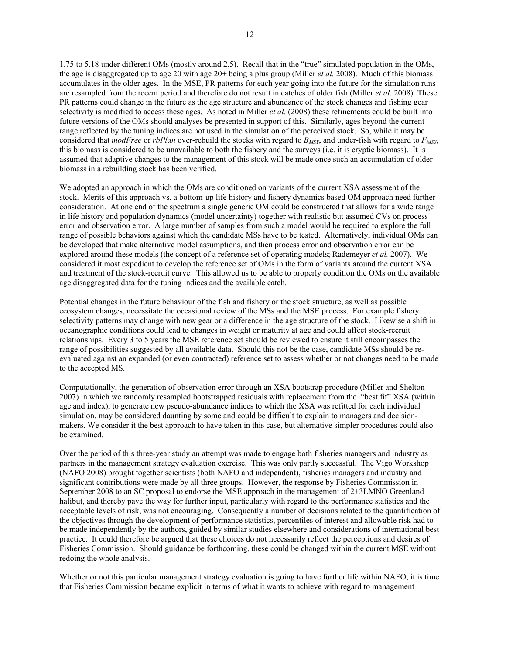1.75 to 5.18 under different OMs (mostly around 2.5). Recall that in the "true" simulated population in the OMs, the age is disaggregated up to age 20 with age 20+ being a plus group (Miller *et al.* 2008). Much of this biomass accumulates in the older ages. In the MSE, PR patterns for each year going into the future for the simulation runs are resampled from the recent period and therefore do not result in catches of older fish (Miller *et al.* 2008). These PR patterns could change in the future as the age structure and abundance of the stock changes and fishing gear selectivity is modified to access these ages. As noted in Miller *et al.* (2008) these refinements could be built into future versions of the OMs should analyses be presented in support of this. Similarly, ages beyond the current range reflected by the tuning indices are not used in the simulation of the perceived stock. So, while it may be considered that *modFree* or *rbPlan* over-rebuild the stocks with regard to  $B_{MSY}$ , and under-fish with regard to  $F_{MSY}$ , this biomass is considered to be unavailable to both the fishery and the surveys (i.e. it is cryptic biomass). It is assumed that adaptive changes to the management of this stock will be made once such an accumulation of older biomass in a rebuilding stock has been verified.

We adopted an approach in which the OMs are conditioned on variants of the current XSA assessment of the stock. Merits of this approach vs. a bottom-up life history and fishery dynamics based OM approach need further consideration. At one end of the spectrum a single generic OM could be constructed that allows for a wide range in life history and population dynamics (model uncertainty) together with realistic but assumed CVs on process error and observation error. A large number of samples from such a model would be required to explore the full range of possible behaviors against which the candidate MSs have to be tested. Alternatively, individual OMs can be developed that make alternative model assumptions, and then process error and observation error can be explored around these models (the concept of a reference set of operating models; Rademeyer *et al.* 2007). We considered it most expedient to develop the reference set of OMs in the form of variants around the current XSA and treatment of the stock-recruit curve. This allowed us to be able to properly condition the OMs on the available age disaggregated data for the tuning indices and the available catch.

Potential changes in the future behaviour of the fish and fishery or the stock structure, as well as possible ecosystem changes, necessitate the occasional review of the MSs and the MSE process. For example fishery selectivity patterns may change with new gear or a difference in the age structure of the stock. Likewise a shift in oceanographic conditions could lead to changes in weight or maturity at age and could affect stock-recruit relationships. Every 3 to 5 years the MSE reference set should be reviewed to ensure it still encompasses the range of possibilities suggested by all available data. Should this not be the case, candidate MSs should be reevaluated against an expanded (or even contracted) reference set to assess whether or not changes need to be made to the accepted MS.

Computationally, the generation of observation error through an XSA bootstrap procedure (Miller and Shelton 2007) in which we randomly resampled bootstrapped residuals with replacement from the "best fit" XSA (within age and index), to generate new pseudo-abundance indices to which the XSA was refitted for each individual simulation, may be considered daunting by some and could be difficult to explain to managers and decisionmakers. We consider it the best approach to have taken in this case, but alternative simpler procedures could also be examined.

Over the period of this three-year study an attempt was made to engage both fisheries managers and industry as partners in the management strategy evaluation exercise. This was only partly successful. The Vigo Workshop (NAFO 2008) brought together scientists (both NAFO and independent), fisheries managers and industry and significant contributions were made by all three groups. However, the response by Fisheries Commission in September 2008 to an SC proposal to endorse the MSE approach in the management of 2+3LMNO Greenland halibut, and thereby pave the way for further input, particularly with regard to the performance statistics and the acceptable levels of risk, was not encouraging. Consequently a number of decisions related to the quantification of the objectives through the development of performance statistics, percentiles of interest and allowable risk had to be made independently by the authors, guided by similar studies elsewhere and considerations of international best practice. It could therefore be argued that these choices do not necessarily reflect the perceptions and desires of Fisheries Commission. Should guidance be forthcoming, these could be changed within the current MSE without redoing the whole analysis.

Whether or not this particular management strategy evaluation is going to have further life within NAFO, it is time that Fisheries Commission became explicit in terms of what it wants to achieve with regard to management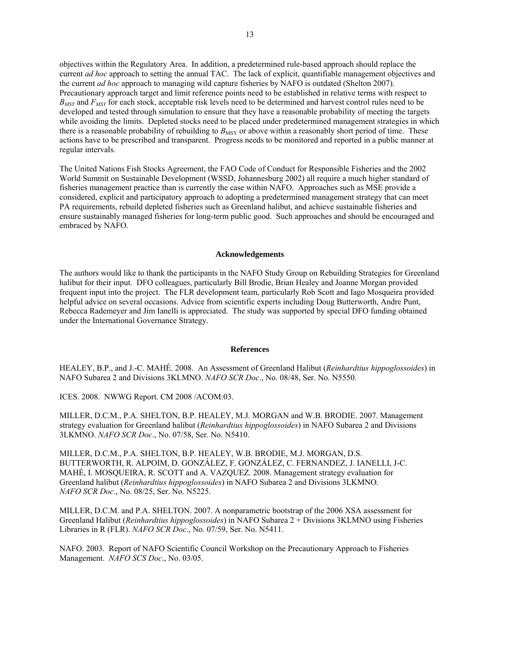objectives within the Regulatory Area. In addition, a predetermined rule-based approach should replace the current *ad hoc* approach to setting the annual TAC. The lack of explicit, quantifiable management objectives and the current *ad hoc* approach to managing wild capture fisheries by NAFO is outdated (Shelton 2007). Precautionary approach target and limit reference points need to be established in relative terms with respect to *B<sub>MSY</sub>* and *F<sub>MSY</sub>* for each stock, acceptable risk levels need to be determined and harvest control rules need to be developed and tested through simulation to ensure that they have a reasonable probability of meeting the targets while avoiding the limits. Depleted stocks need to be placed under predetermined management strategies in which there is a reasonable probability of rebuilding to  $B_{\text{MSY}}$  or above within a reasonably short period of time. These actions have to be prescribed and transparent. Progress needs to be monitored and reported in a public manner at regular intervals.

The United Nations Fish Stocks Agreement, the FAO Code of Conduct for Responsible Fisheries and the 2002 World Summit on Sustainable Development (WSSD, Johannesburg 2002) all require a much higher standard of fisheries management practice than is currently the case within NAFO. Approaches such as MSE provide a considered, explicit and participatory approach to adopting a predetermined management strategy that can meet PA requirements, rebuild depleted fisheries such as Greenland halibut, and achieve sustainable fisheries and ensure sustainably managed fisheries for long-term public good. Such approaches and should be encouraged and embraced by NAFO.

#### **Acknowledgements**

The authors would like to thank the participants in the NAFO Study Group on Rebuilding Strategies for Greenland halibut for their input. DFO colleagues, particularly Bill Brodie, Brian Healey and Joanne Morgan provided frequent input into the project. The FLR development team, particularly Rob Scott and Iago Mosqueira provided helpful advice on several occasions. Advice from scientific experts including Doug Butterworth, Andre Punt, Rebecca Rademeyer and Jim Ianelli is appreciated. The study was supported by special DFO funding obtained under the International Governance Strategy.

## **References**

HEALEY, B.P., and J.-C. MAHÉ. 2008. An Assessment of Greenland Halibut (*Reinhardtius hippoglossoides*) in NAFO Subarea 2 and Divisions 3KLMNO. *NAFO SCR Doc*., No. 08/48, Ser. No. N5550.

ICES. 2008. NWWG Report. CM 2008 /ACOM:03.

MILLER, D.C.M., P.A. SHELTON, B.P. HEALEY, M.J. MORGAN and W.B. BRODIE. 2007. Management strategy evaluation for Greenland halibut (*Reinhardtius hippoglossoides*) in NAFO Subarea 2 and Divisions 3LKMNO. *NAFO SCR Doc*., No. 07/58, Ser. No. N5410.

MILLER, D.C.M., P.A. SHELTON, B.P. HEALEY, W.B. BRODIE, M.J. MORGAN, D.S. BUTTERWORTH, R. ALPOIM, D. GONZÁLEZ, F. GONZÁLEZ, C. FERNANDEZ, J. IANELLI, J-C. MAHÉ, I. MOSQUEIRA, R. SCOTT and A. VAZQUEZ. 2008. Management strategy evaluation for Greenland halibut (*Reinhardtius hippoglossoides*) in NAFO Subarea 2 and Divisions 3LKMNO. *NAFO SCR Doc*., No. 08/25, Ser. No. N5225.

MILLER, D.C.M. and P.A. SHELTON. 2007. A nonparametric bootstrap of the 2006 XSA assessment for Greenland Halibut (*Reinhardtius hippoglossoides*) in NAFO Subarea 2 + Divisions 3KLMNO using Fisheries Libraries in R (FLR). *NAFO SCR Doc*., No. 07/59, Ser. No. N5411.

NAFO. 2003. Report of NAFO Scientific Council Workshop on the Precautionary Approach to Fisheries Management. *NAFO SCS Doc*., No. 03/05.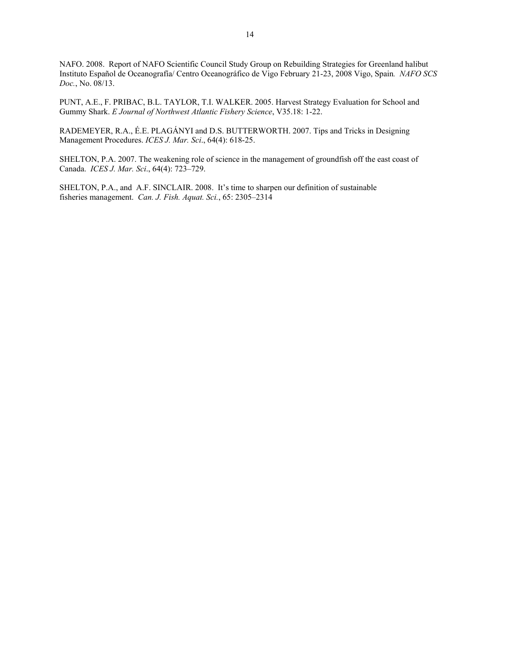NAFO. 2008. Report of NAFO Scientific Council Study Group on Rebuilding Strategies for Greenland halibut Instituto Español de Oceanografía/ Centro Oceanográfico de Vigo February 21-23, 2008 Vigo, Spain*. NAFO SCS Doc.*, No. 08/13.

PUNT, A.E., F. PRIBAC, B.L. TAYLOR, T.I. WALKER. 2005. Harvest Strategy Evaluation for School and Gummy Shark. *E Journal of Northwest Atlantic Fishery Science*, V35.18: 1-22.

RADEMEYER, R.A., É.E. PLAGÁNYI and D.S. BUTTERWORTH. 2007. Tips and Tricks in Designing Management Procedures. *ICES J. Mar. Sci*., 64(4): 618-25.

SHELTON, P.A. 2007. The weakening role of science in the management of groundfish off the east coast of Canada. *ICES J. Mar. Sci*., 64(4): 723–729.

SHELTON, P.A., and A.F. SINCLAIR. 2008. It's time to sharpen our definition of sustainable fisheries management. *Can. J. Fish. Aquat. Sci.*, 65: 2305–2314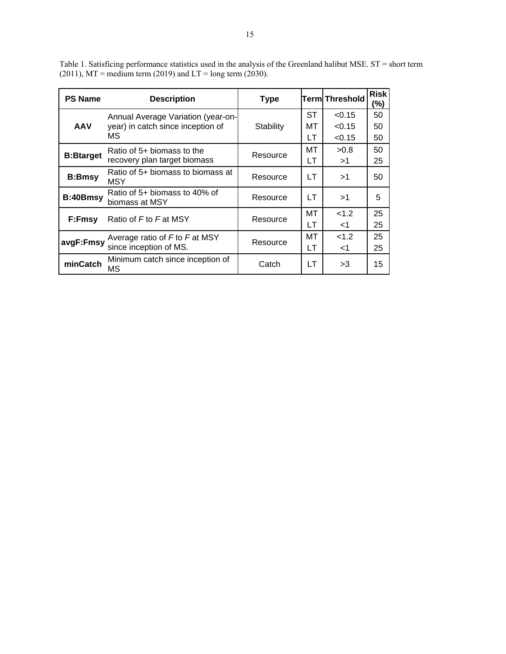| <b>PS Name</b>   | <b>Description</b>                                         | <b>Type</b> |          | <b>Term Threshold</b> | <b>Risk</b><br>(%) |
|------------------|------------------------------------------------------------|-------------|----------|-----------------------|--------------------|
|                  | Annual Average Variation (year-on-                         |             | ST       | < 0.15                | 50                 |
| <b>AAV</b>       | year) in catch since inception of<br>МS                    | Stability   | МT<br>LT | < 0.15<br>< 0.15      | 50<br>50           |
| <b>B:Btarget</b> | Ratio of 5+ biomass to the<br>recovery plan target biomass | Resource    | МT<br>LT | >0.8<br>>1            | 50<br>25           |
| <b>B:Bmsy</b>    | Ratio of 5+ biomass to biomass at<br><b>MSY</b>            | Resource    | LT       | >1                    | 50                 |
| B:40Bmsy         | Ratio of 5+ biomass to 40% of<br>biomass at MSY            | Resource    | LT       | >1                    | 5                  |
| F:Fmsy           | Ratio of F to F at MSY                                     | Resource    | MТ<br>LТ | < 1.2<br>$<$ 1        | 25<br>25           |
| avgF:Fmsy        | Average ratio of F to F at MSY<br>since inception of MS.   | Resource    | МT<br>LT | <1.2<br>$<$ 1         | 25<br>25           |
| minCatch         | Minimum catch since inception of<br>ΜS                     | Catch       | LT       | >3                    | 15                 |

Table 1. Satisficing performance statistics used in the analysis of the Greenland halibut MSE. ST = short term  $(2011)$ , MT = medium term  $(2019)$  and LT = long term  $(2030)$ .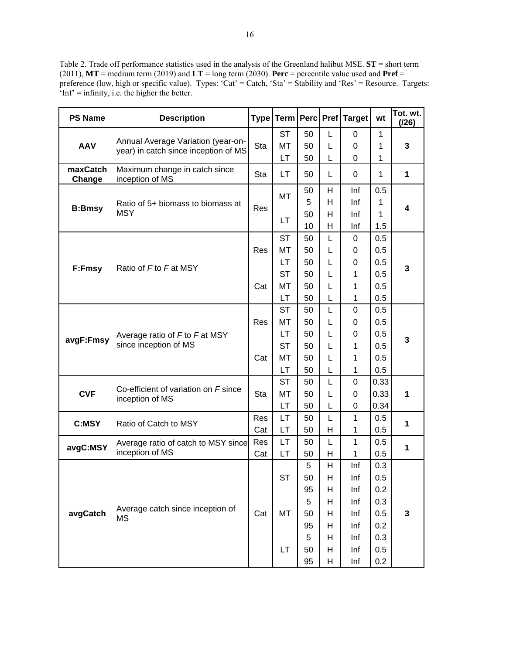Table 2. Trade off performance statistics used in the analysis of the Greenland halibut MSE. **ST** = short term (2011),  $MT$  = medium term (2019) and  $LT$  = long term (2030). **Perc** = percentile value used and **Pref** = preference (low, high or specific value). Types: 'Cat' = Catch, 'Sta' = Stability and 'Res' = Resource. Targets: 'Inf' = infinity, i.e. the higher the better.

| <b>PS Name</b>     | <b>Description</b>                                                         |     |           |    |   | Type   Term   Perc   Pref   Target | wt      | Tot. wt.<br>(126) |  |
|--------------------|----------------------------------------------------------------------------|-----|-----------|----|---|------------------------------------|---------|-------------------|--|
|                    |                                                                            |     | <b>ST</b> | 50 | L | 0                                  | 1       |                   |  |
| <b>AAV</b>         | Annual Average Variation (year-on-<br>year) in catch since inception of MS | Sta | MT        | 50 | L | 0                                  | 1       | 3                 |  |
|                    |                                                                            |     | LT        | 50 | L | 0                                  | 1       |                   |  |
| maxCatch<br>Change | Maximum change in catch since<br>inception of MS                           | Sta | LT        | 50 | L | 0                                  | 1       | 1                 |  |
|                    |                                                                            |     | MT        | 50 | Н | Inf                                | 0.5     |                   |  |
| <b>B:Bmsy</b>      | Ratio of 5+ biomass to biomass at                                          | Res |           | 5  | H | Inf                                | 1       | 4                 |  |
|                    | <b>MSY</b>                                                                 |     | LТ        | 50 | H | Inf                                | 1       |                   |  |
|                    |                                                                            |     |           | 10 | H | Inf                                | 1.5     |                   |  |
|                    |                                                                            |     | <b>ST</b> | 50 | L | 0                                  | 0.5     |                   |  |
|                    |                                                                            | Res | MT        | 50 | L | 0                                  | 0.5     |                   |  |
| F:Fmsy             | Ratio of F to F at MSY                                                     |     | LT.       | 50 | L | 0                                  | 0.5     | 3                 |  |
|                    |                                                                            |     | <b>ST</b> | 50 | L | 1                                  | 0.5     |                   |  |
|                    |                                                                            | Cat | MT        | 50 | L | 1                                  | 0.5     |                   |  |
|                    |                                                                            |     | LT.       | 50 | L | 1                                  | 0.5     |                   |  |
|                    |                                                                            |     | <b>ST</b> | 50 | L | 0                                  | 0.5     |                   |  |
|                    |                                                                            | Res | MT        | 50 | L | 0                                  | 0.5     |                   |  |
| avgF:Fmsy          | Average ratio of F to F at MSY                                             |     | LT.       | 50 | L | 0                                  | 0.5     | 3                 |  |
|                    | since inception of MS                                                      |     | <b>ST</b> | 50 | L | 1                                  | 0.5     |                   |  |
|                    |                                                                            | Cat | <b>MT</b> | 50 | L | 1                                  | 0.5     |                   |  |
|                    |                                                                            |     | LT        | 50 | L | 1                                  | 0.5     |                   |  |
|                    | Co-efficient of variation on F since                                       |     | <b>ST</b> | 50 | L | 0                                  | 0.33    |                   |  |
| <b>CVF</b>         | inception of MS                                                            | Sta | MT        | 50 | L | 0                                  | 0.33    | 1                 |  |
|                    |                                                                            |     | LT        | 50 | L | 0                                  | 0.34    |                   |  |
| C:MSY              | Ratio of Catch to MSY                                                      | Res | LT        | 50 | L | 1                                  | 0.5     | 1                 |  |
|                    |                                                                            | Cat | LT        | 50 | H | 1                                  | 0.5     |                   |  |
| avgC:MSY           | Average ratio of catch to MSY since                                        | Res | LT        | 50 | L | 1                                  | 0.5     | 1                 |  |
|                    | inception of MS                                                            | Cat | LT        | 50 | Н | 1                                  | 0.5     |                   |  |
|                    |                                                                            |     |           | 5  | Н | Inf                                | 0.3     |                   |  |
|                    |                                                                            |     | <b>ST</b> | 50 | H | Inf                                | $0.5\,$ |                   |  |
|                    |                                                                            |     |           | 95 | Н | Inf                                | 0.2     |                   |  |
|                    | Average catch since inception of                                           |     |           | 5  | Н | Inf                                | 0.3     |                   |  |
| avgCatch           | MS                                                                         | Cat | MT        | 50 | Н | Inf                                | 0.5     | 3                 |  |
|                    |                                                                            |     |           | 95 | н | Inf                                | 0.2     |                   |  |
|                    |                                                                            |     |           |    | 5 | Н                                  | Inf     | 0.3               |  |
|                    |                                                                            |     | <b>LT</b> | 50 | Н | Inf                                | 0.5     |                   |  |
|                    |                                                                            |     |           | 95 | Н | Inf                                | 0.2     |                   |  |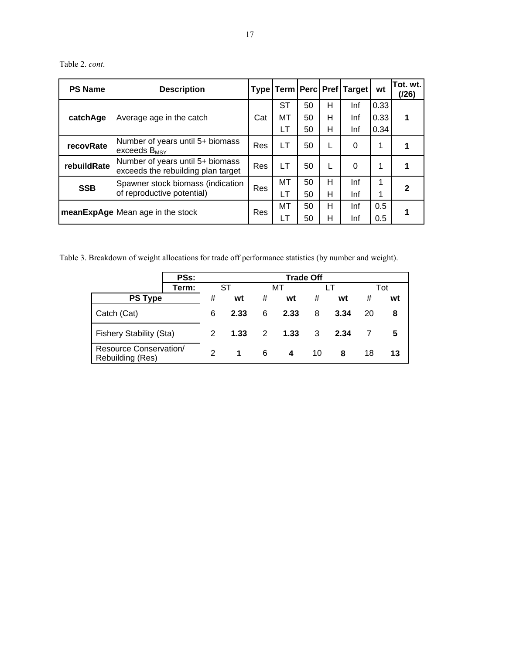Table 2. *cont*.

| <b>PS Name</b> | <b>Description</b>                                                     |            |     |    |   | Type   Term   Perc   Pref   Target | wt   | Tot. wt.<br>(/26) |
|----------------|------------------------------------------------------------------------|------------|-----|----|---|------------------------------------|------|-------------------|
|                |                                                                        |            | ST  | 50 | н | Inf                                | 0.33 |                   |
| catchAge       | Average age in the catch                                               | Cat        | MТ  | 50 | н | Inf                                | 0.33 | 1                 |
|                |                                                                        |            | LT  | 50 | н | Inf                                | 0.34 |                   |
| recovRate      | Number of years until 5+ biomass<br>exceeds $B_{MSY}$                  | Res        | LT  | 50 | L | 0                                  | 1    |                   |
| rebuildRate    | Number of years until 5+ biomass<br>exceeds the rebuilding plan target | Res        | LT  | 50 | L | 0                                  | 1    |                   |
| <b>SSB</b>     | Spawner stock biomass (indication                                      | Res        | MT  | 50 | н | Inf                                |      |                   |
|                | of reproductive potential)                                             |            | LT. | 50 | н | Inf                                | 1    |                   |
|                | meanExpAge Mean age in the stock                                       | <b>Res</b> | MT  | 50 | Н | Inf                                | 0.5  |                   |
|                |                                                                        |            | LT  | 50 | н | Inf                                | 0.5  |                   |

Table 3. Breakdown of weight allocations for trade off performance statistics (by number and weight).

|                                                   | <b>PSs:</b> |      |    |          | <b>Trade Off</b> |      |    |    |     |
|---------------------------------------------------|-------------|------|----|----------|------------------|------|----|----|-----|
|                                                   | Term:       |      | ST |          | мт               |      |    |    | Tot |
| <b>PS Type</b>                                    |             | #    | wt | #        | wt               | #    | wt | #  | wt  |
| Catch (Cat)                                       | 6           | 2.33 | 6  | 2.33     | 8                | 3.34 | 20 | 8  |     |
| <b>Fishery Stability (Sta)</b>                    | 2           | 1.33 |    | $2$ 1.33 | 3                | 2.34 |    | 5  |     |
| <b>Resource Conservation/</b><br>Rebuilding (Res) | 2           | 1    | 6  | 4        | 10               | 8    | 18 | 13 |     |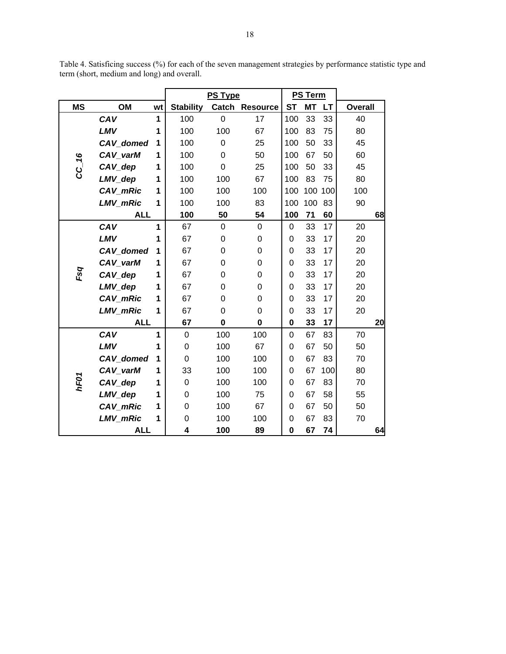Table 4. Satisficing success (%) for each of the seven management strategies by performance statistic type and term (short, medium and long) and overall.

|           |                  |    |                  | PS Type     |                  |           | <b>PS Term</b> |         |                |    |
|-----------|------------------|----|------------------|-------------|------------------|-----------|----------------|---------|----------------|----|
| <b>MS</b> | OM               | wt | <b>Stability</b> | Catch       | <b>Resource</b>  | <b>ST</b> | <b>MT</b>      | LT      | <b>Overall</b> |    |
|           | CAV              | 1  | 100              | $\mathbf 0$ | 17               | 100       | 33             | 33      | 40             |    |
|           | LMV              | 1  | 100              | 100         | 67               | 100       | 83             | 75      | 80             |    |
|           | CAV_domed        | 1  | 100              | $\mathbf 0$ | 25               | 100       | 50             | 33      | 45             |    |
|           | CAV_varM         | 1  | 100              | $\mathbf 0$ | 50               | 100       | 67             | 50      | 60             |    |
| CC_16     | CAV_dep          | 1  | 100              | 0           | 25               | 100       | 50             | 33      | 45             |    |
|           | LMV_dep          | 1  | 100              | 100         | 67               | 100       | 83             | 75      | 80             |    |
|           | CAV_mRic         | 1  | 100              | 100         | 100              | 100       |                | 100 100 | 100            |    |
|           | LMV_mRic         | 1  | 100              | 100         | 83               | 100       | 100            | 83      | 90             |    |
|           | <b>ALL</b>       |    | 100              | 50          | 54               | 100       | 71             | 60      |                | 68 |
|           | CAV              | 1  | 67               | $\mathbf 0$ | $\pmb{0}$        | 0         | 33             | 17      | 20             |    |
|           | <b>LMV</b>       | 1  | 67               | 0           | 0                | 0         | 33             | 17      | 20             |    |
|           | CAV_domed        | 1  | 67               | 0           | 0                | 0         | 33             | 17      | 20             |    |
|           | CAV varM         | 1  | 67               | $\Omega$    | $\pmb{0}$        | $\Omega$  | 33             | 17      | 20             |    |
| Fsq       | CAV_dep          | 1  | 67               | $\Omega$    | 0                | $\Omega$  | 33             | 17      | 20             |    |
|           | LMV_dep          | 1  | 67               | 0           | 0                | $\Omega$  | 33             | 17      | 20             |    |
|           | CAV_mRic         | 1  | 67               | $\Omega$    | 0                | $\Omega$  | 33             | 17      | 20             |    |
|           | <b>LMV mRic</b>  | 1  | 67               | $\mathbf 0$ | $\boldsymbol{0}$ | $\Omega$  | 33             | 17      | 20             |    |
|           | <b>ALL</b>       |    | 67               | $\bf{0}$    | 0                | 0         | 33             | 17      |                | 20 |
|           | CAV              | 1  | 0                | 100         | 100              | 0         | 67             | 83      | 70             |    |
|           | LMV              | 1  | 0                | 100         | 67               | $\Omega$  | 67             | 50      | 50             |    |
|           | <b>CAV</b> domed | 1  | 0                | 100         | 100              | $\Omega$  | 67             | 83      | 70             |    |
|           | CAV_varM         | 1  | 33               | 100         | 100              | 0         | 67             | 100     | 80             |    |
| hF01      | CAV_dep          | 1  | $\mathbf 0$      | 100         | 100              | 0         | 67             | 83      | 70             |    |
|           | LMV_dep          | 1  | 0                | 100         | 75               | 0         | 67             | 58      | 55             |    |
|           | CAV_mRic         | 1  | 0                | 100         | 67               | $\Omega$  | 67             | 50      | 50             |    |
|           | <b>LMV mRic</b>  | 1  | 0                | 100         | 100              | 0         | 67             | 83      | 70             |    |
|           | <b>ALL</b>       |    | 4                | 100         | 89               | 0         | 67             | 74      |                | 64 |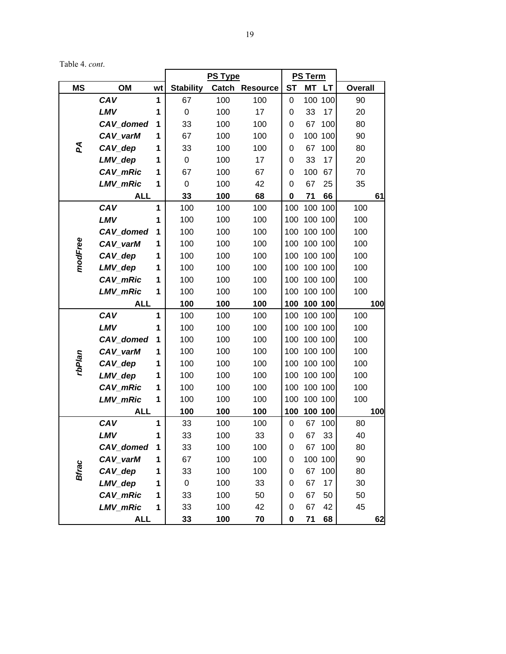Table 4. *cont*.

|              |                 |    |                  | <b>PS Type</b> |                |           | PS Term |         |                |     |
|--------------|-----------------|----|------------------|----------------|----------------|-----------|---------|---------|----------------|-----|
| <b>MS</b>    | OM              | wt | <b>Stability</b> |                | Catch Resource | <b>ST</b> | MT LT   |         | <b>Overall</b> |     |
|              | CAV             | 1  | 67               | 100            | 100            | 0         | 100 100 |         | 90             |     |
|              | <b>LMV</b>      | 1  | $\pmb{0}$        | 100            | 17             | 0         | 33      | 17      | 20             |     |
|              | CAV_domed       | 1  | 33               | 100            | 100            | 0         | 67      | 100     | 80             |     |
|              | CAV_varM        | 1  | 67               | 100            | 100            | 0         | 100 100 |         | 90             |     |
| Ъ            | CAV_dep         | 1  | 33               | 100            | 100            | 0         | 67      | 100     | 80             |     |
|              | LMV_dep         | 1  | $\pmb{0}$        | 100            | 17             | 0         | 33      | 17      | 20             |     |
|              | CAV_mRic        | 1  | 67               | 100            | 67             | 0         | 100     | 67      | 70             |     |
|              | LMV_mRic        | 1  | 0                | 100            | 42             | 0         | 67      | 25      | 35             |     |
|              | <b>ALL</b>      |    | 33               | 100            | 68             | 0         | 71      | 66      |                | 61  |
|              | CAV             | 1  | 100              | 100            | 100            | 100       | 100 100 |         | 100            |     |
|              | <b>LMV</b>      | 1  | 100              | 100            | 100            | 100       | 100 100 |         | 100            |     |
|              | CAV_domed       | 1  | 100              | 100            | 100            | 100       | 100 100 |         | 100            |     |
|              | CAV_varM        | 1  | 100              | 100            | 100            | 100       | 100 100 |         | 100            |     |
| modFree      | CAV_dep         | 1  | 100              | 100            | 100            | 100       | 100 100 |         | 100            |     |
|              | LMV_dep         | 1  | 100              | 100            | 100            | 100       | 100 100 |         | 100            |     |
|              | CAV_mRic        | 1  | 100              | 100            | 100            | 100       | 100 100 |         | 100            |     |
|              | LMV_mRic        | 1  | 100              | 100            | 100            | 100       | 100 100 |         | 100            |     |
|              | <b>ALL</b>      |    | 100              | 100            | 100            | 100       | 100 100 |         |                | 100 |
|              | CAV             | 1  | 100              | 100            | 100            | 100       | 100 100 |         | 100            |     |
|              | <b>LMV</b>      | 1  | 100              | 100            | 100            | 100       | 100 100 |         | 100            |     |
|              | CAV_domed       | 1  | 100              | 100            | 100            | 100       | 100 100 |         | 100            |     |
|              | CAV_varM        | 1  | 100              | 100            | 100            | 100       | 100 100 |         | 100            |     |
| rbPlan       | CAV_dep         | 1  | 100              | 100            | 100            | 100       | 100 100 |         | 100            |     |
|              | LMV_dep         | 1  | 100              | 100            | 100            | 100       | 100 100 |         | 100            |     |
|              | CAV_mRic        | 1  | 100              | 100            | 100            | 100       | 100 100 |         | 100            |     |
|              | <b>LMV mRic</b> | 1  | 100              | 100            | 100            | 100       | 100 100 |         | 100            |     |
|              | <b>ALL</b>      |    | 100              | 100            | 100            | 100       | 100 100 |         |                | 100 |
|              | CAV             | 1  | 33               | 100            | 100            | 0         | 67      | 100     | 80             |     |
|              | LMV             | 1  | 33               | 100            | 33             | 0         | 67      | 33      | 40             |     |
|              | CAV_domed       | 1  | 33               | 100            | 100            | 0         | 67      | 100     | 80             |     |
|              | CAV_varM        | 1  | 67               | 100            | 100            | 0         |         | 100 100 | 90             |     |
| <b>Bfrac</b> | CAV_dep         | 1  | 33               | 100            | 100            | 0         | 67      | 100     | 80             |     |
|              | LMV_dep         | 1  | 0                | 100            | 33             | 0         | 67      | 17      | 30             |     |
|              | CAV_mRic        | 1  | 33               | 100            | 50             | 0         | 67      | 50      | 50             |     |
|              | <b>LMV_mRic</b> | 1  | 33               | 100            | 42             | 0         | 67      | 42      | 45             |     |
|              | <b>ALL</b>      |    | 33               | 100            | 70             | 0         | 71      | 68      |                | 62  |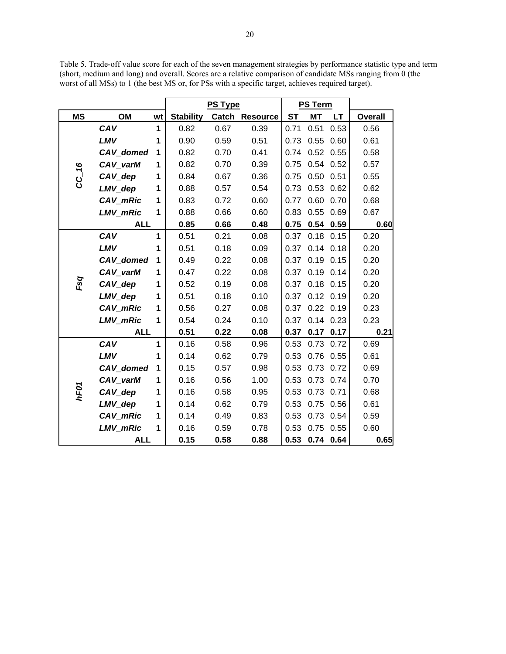Table 5. Trade-off value score for each of the seven management strategies by performance statistic type and term (short, medium and long) and overall. Scores are a relative comparison of candidate MSs ranging from 0 (the worst of all MSs) to 1 (the best MS or, for PSs with a specific target, achieves required target).

|           |                 |              |                  | <b>PS Type</b> |                |           | <b>PS Term</b> |      |                |
|-----------|-----------------|--------------|------------------|----------------|----------------|-----------|----------------|------|----------------|
| <b>MS</b> | OM              | wt           | <b>Stability</b> |                | Catch Resource | <b>ST</b> | <b>MT</b>      | LT.  | <b>Overall</b> |
|           | CAV             | $\mathbf{1}$ | 0.82             | 0.67           | 0.39           | 0.71      | 0.51           | 0.53 | 0.56           |
|           | LMV             | 1            | 0.90             | 0.59           | 0.51           | 0.73      | 0.55           | 0.60 | 0.61           |
|           | CAV domed       | 1            | 0.82             | 0.70           | 0.41           | 0.74      | 0.52           | 0.55 | 0.58           |
|           | CAV varM        | 1            | 0.82             | 0.70           | 0.39           | 0.75      | 0.54           | 0.52 | 0.57           |
| $CC-$ 16  | CAV_dep         | 1            | 0.84             | 0.67           | 0.36           | 0.75      | 0.50           | 0.51 | 0.55           |
|           | LMV_dep         | 1            | 0.88             | 0.57           | 0.54           | 0.73      | 0.53           | 0.62 | 0.62           |
|           | CAV_mRic        | 1            | 0.83             | 0.72           | 0.60           | 0.77      | 0.60           | 0.70 | 0.68           |
|           | <b>LMV mRic</b> | 1            | 0.88             | 0.66           | 0.60           | 0.83      | 0.55           | 0.69 | 0.67           |
|           | <b>ALL</b>      |              | 0.85             | 0.66           | 0.48           | 0.75      | 0.54           | 0.59 | 0.60           |
|           | CAV             | $\mathbf{1}$ | 0.51             | 0.21           | 0.08           | 0.37      | 0.18           | 0.15 | 0.20           |
|           | LMV             | 1            | 0.51             | 0.18           | 0.09           | 0.37      | 0.14           | 0.18 | 0.20           |
|           | CAV_domed       | 1            | 0.49             | 0.22           | 0.08           | 0.37      | 0.19           | 0.15 | 0.20           |
|           | CAV varM        | 1            | 0.47             | 0.22           | 0.08           | 0.37      | 0.19           | 0.14 | 0.20           |
| Fsq       | CAV_dep         | 1            | 0.52             | 0.19           | 0.08           | 0.37      | 0.18           | 0.15 | 0.20           |
|           | LMV_dep         | 1            | 0.51             | 0.18           | 0.10           | 0.37      | 0.12           | 0.19 | 0.20           |
|           | CAV_mRic        | 1            | 0.56             | 0.27           | 0.08           | 0.37      | 0.22           | 0.19 | 0.23           |
|           | <b>LMV mRic</b> | 1            | 0.54             | 0.24           | 0.10           | 0.37      | 0.14           | 0.23 | 0.23           |
|           | <b>ALL</b>      |              | 0.51             | 0.22           | 0.08           | 0.37      | 0.17           | 0.17 | 0.21           |
|           | CAV             | $\mathbf{1}$ | 0.16             | 0.58           | 0.96           | 0.53      | 0.73           | 0.72 | 0.69           |
|           | LMV             | 1            | 0.14             | 0.62           | 0.79           | 0.53      | 0.76           | 0.55 | 0.61           |
|           | CAV_domed       | 1            | 0.15             | 0.57           | 0.98           | 0.53      | 0.73           | 0.72 | 0.69           |
|           | CAV varM        | 1            | 0.16             | 0.56           | 1.00           | 0.53      | 0.73           | 0.74 | 0.70           |
| hF01      | CAV_dep         | 1            | 0.16             | 0.58           | 0.95           | 0.53      | 0.73           | 0.71 | 0.68           |
|           | LMV_dep         | 1            | 0.14             | 0.62           | 0.79           | 0.53      | 0.75           | 0.56 | 0.61           |
|           | CAV_mRic        | 1            | 0.14             | 0.49           | 0.83           | 0.53      | 0.73           | 0.54 | 0.59           |
|           | <b>LMV mRic</b> | 1            | 0.16             | 0.59           | 0.78           | 0.53      | 0.75           | 0.55 | 0.60           |
|           | <b>ALL</b>      |              | 0.15             | 0.58           | 0.88           | 0.53      | 0.74           | 0.64 | 0.65           |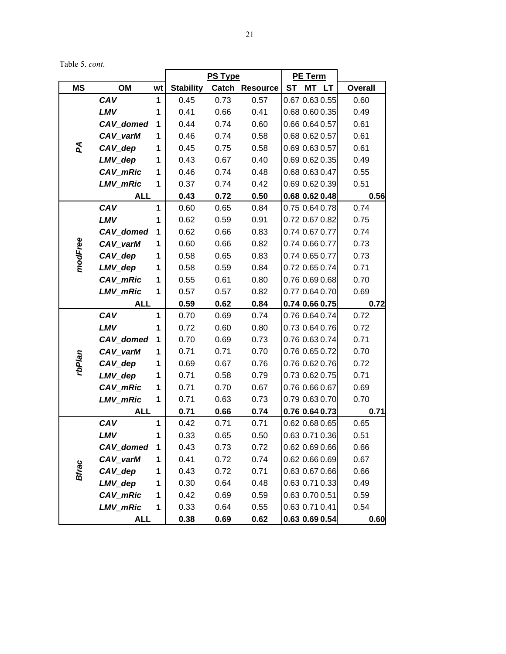21

Table 5. *cont*.

|              |                 |    |                  | <b>PS Type</b> |                |                | <b>PE Term</b> |                |                |
|--------------|-----------------|----|------------------|----------------|----------------|----------------|----------------|----------------|----------------|
| <b>MS</b>    | OM              | wt | <b>Stability</b> |                | Catch Resource | <b>ST</b>      |                | MT LT          | <b>Overall</b> |
|              | CAV             | 1  | 0.45             | 0.73           | 0.57           | 0.67 0.63 0.55 |                |                | 0.60           |
|              | LMV             | 1  | 0.41             | 0.66           | 0.41           |                |                | 0.68 0.60 0.35 | 0.49           |
|              | CAV_domed       | 1  | 0.44             | 0.74           | 0.60           | 0.66 0.64 0.57 |                |                | 0.61           |
|              | CAV_varM        | 1  | 0.46             | 0.74           | 0.58           | 0.68 0.62 0.57 |                |                | 0.61           |
| Σđ           | CAV_dep         | 1  | 0.45             | 0.75           | 0.58           | 0.69 0.63 0.57 |                |                | 0.61           |
|              | LMV_dep         | 1  | 0.43             | 0.67           | 0.40           |                |                | 0.69 0.62 0.35 | 0.49           |
|              | CAV_mRic        | 1  | 0.46             | 0.74           | 0.48           |                |                | 0.68 0.63 0.47 | 0.55           |
|              | LMV_mRic        | 1  | 0.37             | 0.74           | 0.42           |                |                | 0.69 0.62 0.39 | 0.51           |
|              | <b>ALL</b>      |    | 0.43             | 0.72           | 0.50           | 0.68 0.62 0.48 |                |                | 0.56           |
|              | CAV             | 1  | 0.60             | 0.65           | 0.84           |                |                | 0.75 0.64 0.78 | 0.74           |
|              | LMV             | 1  | 0.62             | 0.59           | 0.91           |                |                | 0.72 0.67 0.82 | 0.75           |
|              | CAV_domed       | 1  | 0.62             | 0.66           | 0.83           |                |                | 0.74 0.67 0.77 | 0.74           |
| modFree      | CAV_varM        | 1  | 0.60             | 0.66           | 0.82           | 0.74 0.66 0.77 |                |                | 0.73           |
|              | CAV_dep         | 1  | 0.58             | 0.65           | 0.83           | 0.74 0.65 0.77 |                |                | 0.73           |
|              | LMV_dep         | 1  | 0.58             | 0.59           | 0.84           | 0.72 0.65 0.74 |                |                | 0.71           |
|              | CAV_mRic        | 1  | 0.55             | 0.61           | 0.80           |                |                | 0.76 0.69 0.68 | 0.70           |
|              | LMV_mRic        | 1  | 0.57             | 0.57           | 0.82           |                |                | 0.77 0.64 0.70 | 0.69           |
|              | <b>ALL</b>      |    | 0.59             | 0.62           | 0.84           | 0.74 0.66 0.75 |                |                | 0.72           |
|              | CAV             | 1  | 0.70             | 0.69           | 0.74           | 0.76 0.64 0.74 |                |                | 0.72           |
|              | LMV             | 1  | 0.72             | 0.60           | 0.80           | 0.73 0.64 0.76 |                |                | 0.72           |
|              | CAV_domed       | 1  | 0.70             | 0.69           | 0.73           | 0.76 0.63 0.74 |                |                | 0.71           |
|              | CAV_varM        | 1  | 0.71             | 0.71           | 0.70           | 0.76 0.65 0.72 |                |                | 0.70           |
| rbPlan       | CAV_dep         | 1  | 0.69             | 0.67           | 0.76           |                |                | 0.76 0.62 0.76 | 0.72           |
|              | LMV_dep         | 1  | 0.71             | 0.58           | 0.79           |                |                | 0.73 0.62 0.75 | 0.71           |
|              | CAV_mRic        | 1  | 0.71             | 0.70           | 0.67           | 0.76 0.66 0.67 |                |                | 0.69           |
|              | <b>LMV mRic</b> | 1  | 0.71             | 0.63           | 0.73           | 0.79 0.63 0.70 |                |                | 0.70           |
|              | <b>ALL</b>      |    | 0.71             | 0.66           | 0.74           | 0.76 0.64 0.73 |                |                | 0.71           |
|              | CAV             | 1  | 0.42             | 0.71           | 0.71           | 0.62 0.68 0.65 |                |                | 0.65           |
|              | LMV             | 1  | 0.33             | 0.65           | 0.50           | 0.63 0.71 0.36 |                |                | 0.51           |
|              | CAV_domed       | 1  | 0.43             | 0.73           | 0.72           | 0.62 0.69 0.66 |                |                | 0.66           |
|              | CAV varM        | 1  | 0.41             | 0.72           | 0.74           |                |                | 0.62 0.66 0.69 | 0.67           |
| <b>Bfrac</b> | CAV_dep         | 1  | 0.43             | 0.72           | 0.71           |                |                | 0.63 0.67 0.66 | 0.66           |
|              | LMV_dep         | 1  | 0.30             | 0.64           | 0.48           |                |                | 0.63 0.71 0.33 | 0.49           |
|              | CAV_mRic        | 1  | 0.42             | 0.69           | 0.59           | 0.63 0.70 0.51 |                |                | 0.59           |
|              | LMV_mRic        | 1  | 0.33             | 0.64           | 0.55           | 0.63 0.71 0.41 |                |                | 0.54           |
|              | <b>ALL</b>      |    | 0.38             | 0.69           | 0.62           | 0.63 0.69 0.54 |                |                | 0.60           |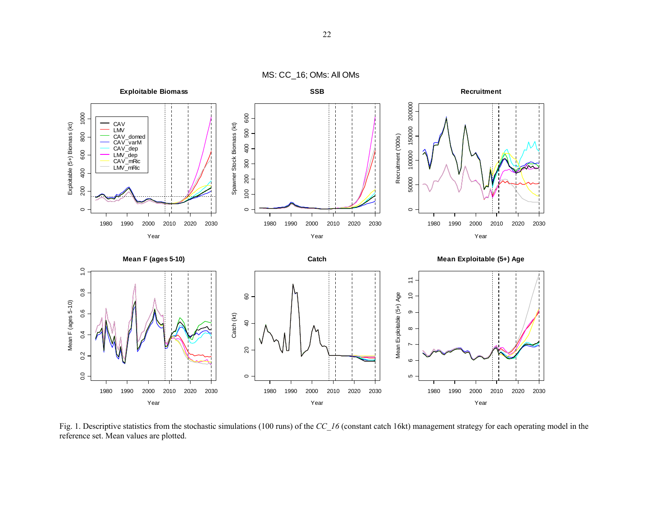MS: CC\_16; OMs: All OMs



Fig. 1. Descriptive statistics from the stochastic simulations (100 runs) of the *CC* 16 (constant catch 16kt) management strategy for each operating model in the reference set. Mean values are plotted.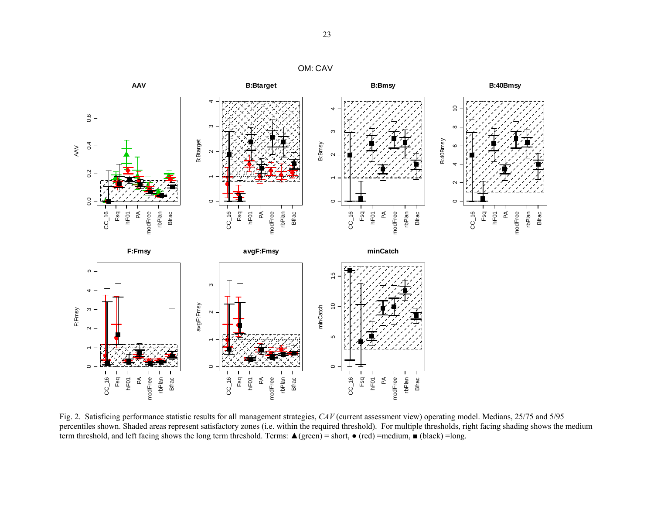# OM: CAV



Fig. 2. Satisficing performance statistic results for all management strategies, *CAV* (current assessment view) operating model. Medians, 25/75 and 5/95 percentiles shown. Shaded areas represent satisfactory zones (i.e. within the required threshold). For multiple thresholds, right facing shading shows the medium term threshold, and left facing shows the long term threshold. Terms:  $\triangle$  (green) = short,  $\bullet$  (red) =medium,  $\blacksquare$  (black) =long.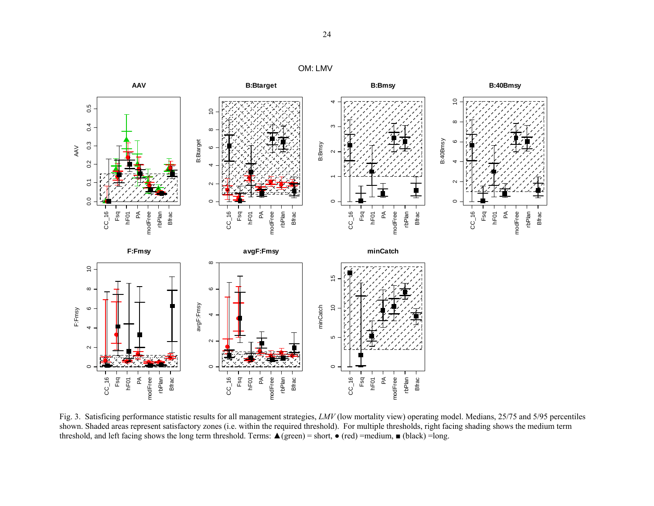# OM: LMV



Fig. 3. Satisficing performance statistic results for all management strategies, *LMV* (low mortality view) operating model. Medians, 25/75 and 5/95 percentiles shown. Shaded areas represent satisfactory zones (i.e. within the required threshold). For multiple thresholds, right facing shading shows the medium term threshold, and left facing shows the long term threshold. Terms:  $\triangle$  (green) = short,  $\bullet$  (red) =medium,  $\Box$  (black) = long.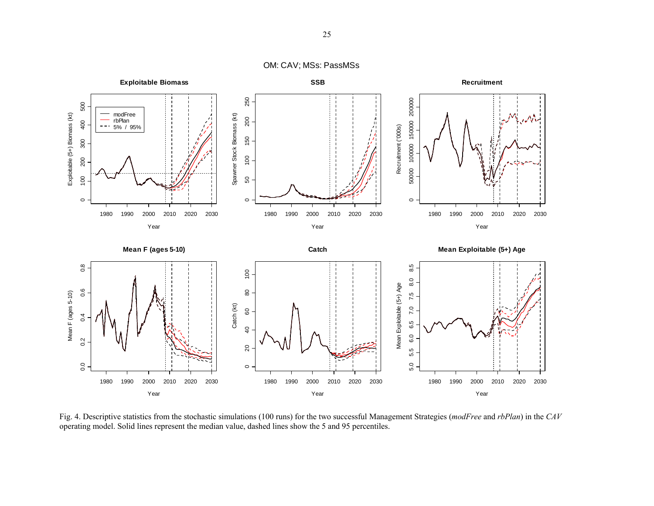OM: CAV; MSs: PassMSs



Fig. 4. Descriptive statistics from the stochastic simulations (100 runs) for the two successful Management Strategies (*modFree* and *rbPlan*) in the *CAV* operating model. Solid lines represent the median value, dashed lines show the 5 and 95 percentiles.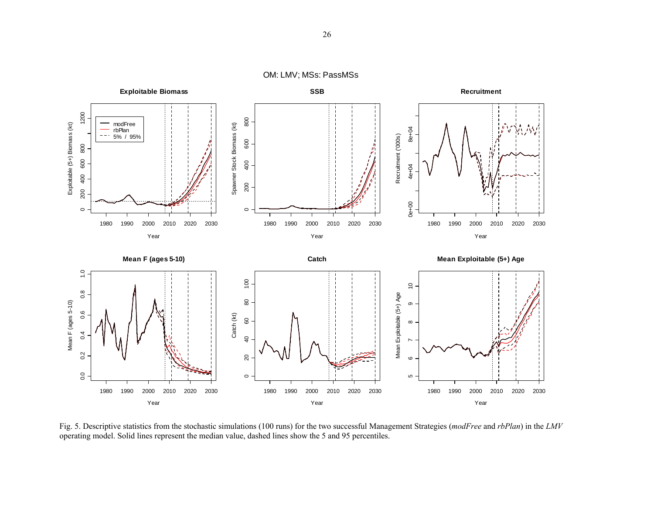OM: LMV; MSs: PassMSs



Fig. 5. Descriptive statistics from the stochastic simulations (100 runs) for the two successful Management Strategies (*modFree* and *rbPlan*) in the *LMV* operating model. Solid lines represent the median value, dashed lines show the 5 and 95 percentiles.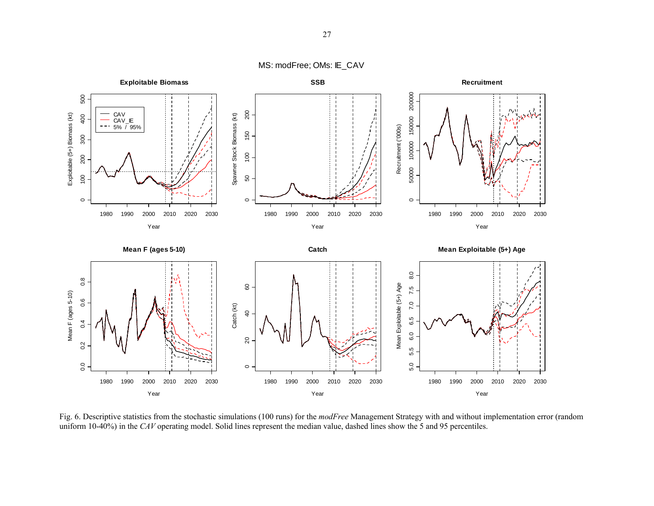MS: modFree; OMs: IE\_CAV



Fig. 6. Descriptive statistics from the stochastic simulations (100 runs) for the *modFree* Management Strategy with and without implementation error (random uniform 10-40%) in the *CAV* operating model. Solid lines represent the median value, dashed lines show the 5 and 95 percentiles.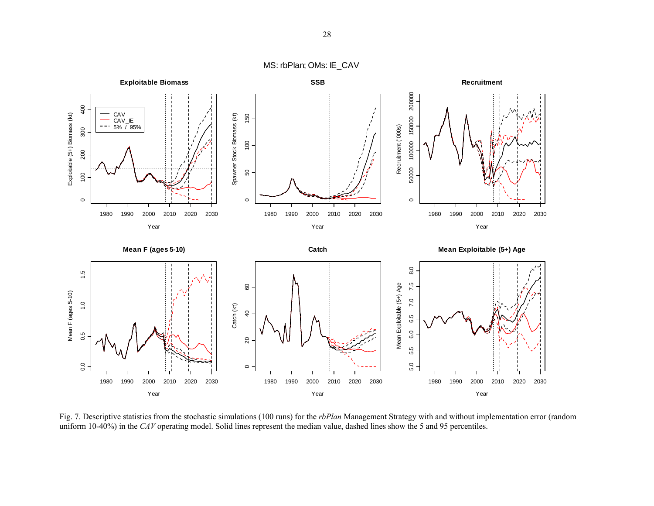MS: rbPlan; OMs: IE\_CAV



Fig. 7. Descriptive statistics from the stochastic simulations (100 runs) for the *rbPlan* Management Strategy with and without implementation error (random uniform 10-40%) in the *CAV* operating model. Solid lines represent the median value, dashed lines show the 5 and 95 percentiles.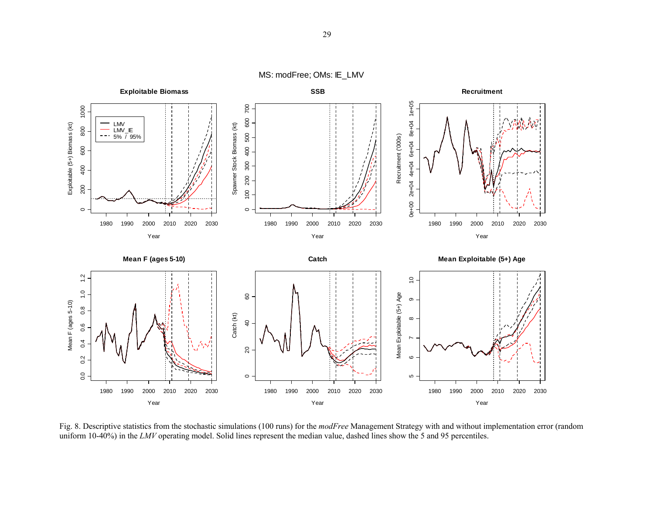MS: modFree; OMs: IE\_LMV



Fig. 8. Descriptive statistics from the stochastic simulations (100 runs) for the *modFree* Management Strategy with and without implementation error (random uniform 10-40%) in the *LMV* operating model. Solid lines represent the median value, dashed lines show the 5 and 95 percentiles.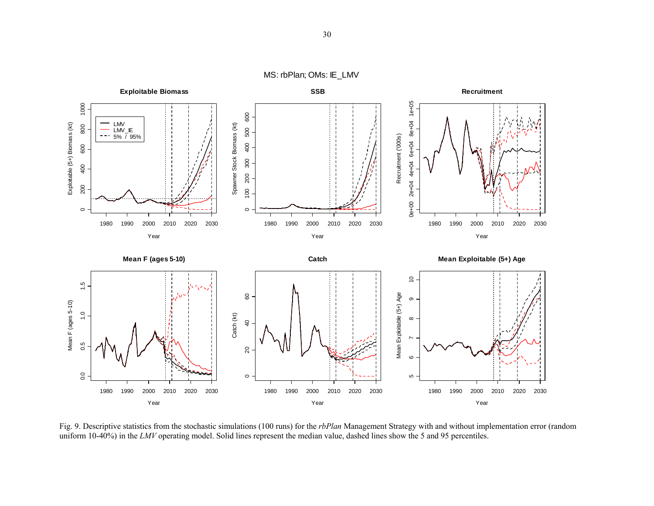MS: rbPlan; OMs: IE\_LMV



Fig. 9. Descriptive statistics from the stochastic simulations (100 runs) for the *rbPlan* Management Strategy with and without implementation error (random uniform 10-40%) in the *LMV* operating model. Solid lines represent the median value, dashed lines show the 5 and 95 percentiles.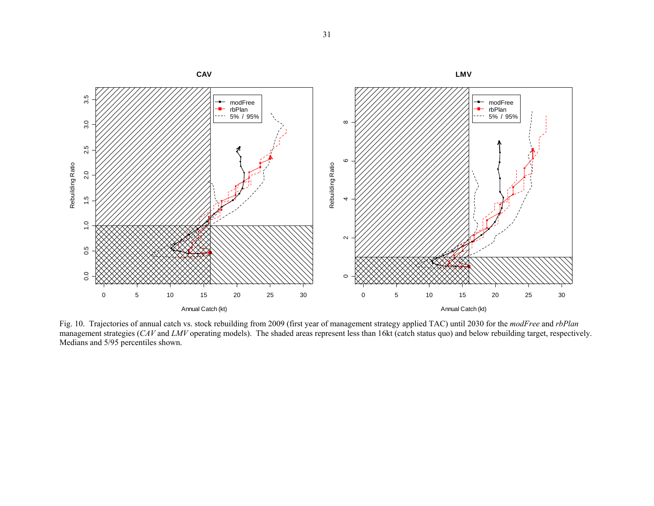

Fig. 10. Trajectories of annual catch vs. stock rebuilding from 2009 (first year of management strategy applied TAC) until 2030 for the *modFree* and *rbPlan* management strategies (*CAV* and *LMV* operating models). The shaded areas represent less than 16kt (catch status quo) and below rebuilding target, respectively. Medians and 5/95 percentiles shown.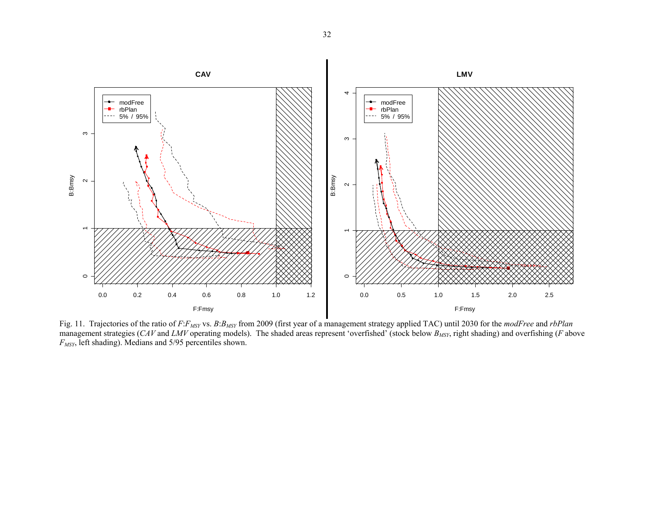

Fig. 11. Trajectories of the ratio of *F:F<sub>MSY</sub>* vs. *B:B<sub>MSY</sub>* from 2009 (first year of a management strategy applied TAC) until 2030 for the *modFree* and *rbPlan* management strategies (*CAV* and *LMV* operating models). The shaded areas represent 'overfished' (stock below *BMSY*, right shading) and overfishing (*F* above *FMSY*, left shading). Medians and 5/95 percentiles shown.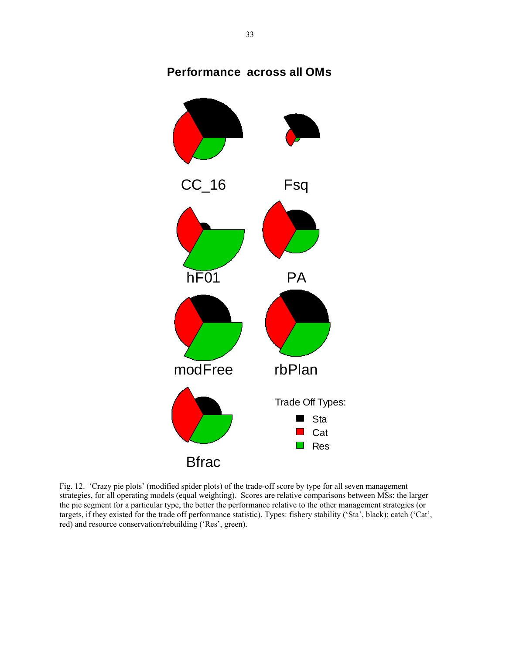# **Performance across all OMs**



Fig. 12. 'Crazy pie plots' (modified spider plots) of the trade-off score by type for all seven management strategies, for all operating models (equal weighting). Scores are relative comparisons between MSs: the larger the pie segment for a particular type, the better the performance relative to the other management strategies (or targets, if they existed for the trade off performance statistic). Types: fishery stability ('Sta', black); catch ('Cat', red) and resource conservation/rebuilding ('Res', green).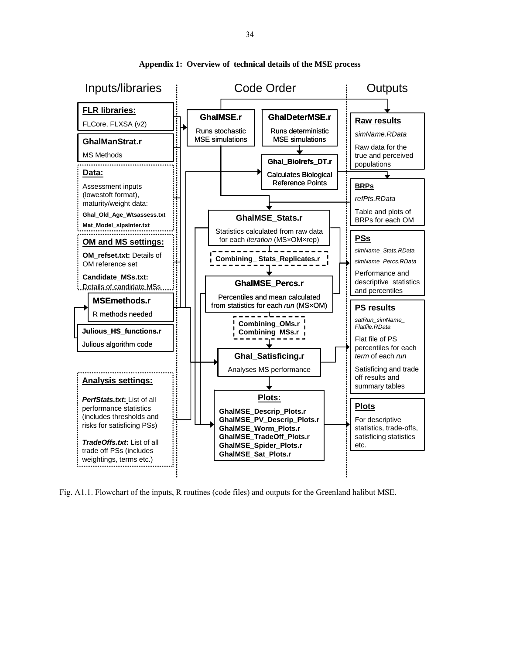

**Appendix 1: Overview of technical details of the MSE process** 

Fig. A1.1. Flowchart of the inputs, R routines (code files) and outputs for the Greenland halibut MSE.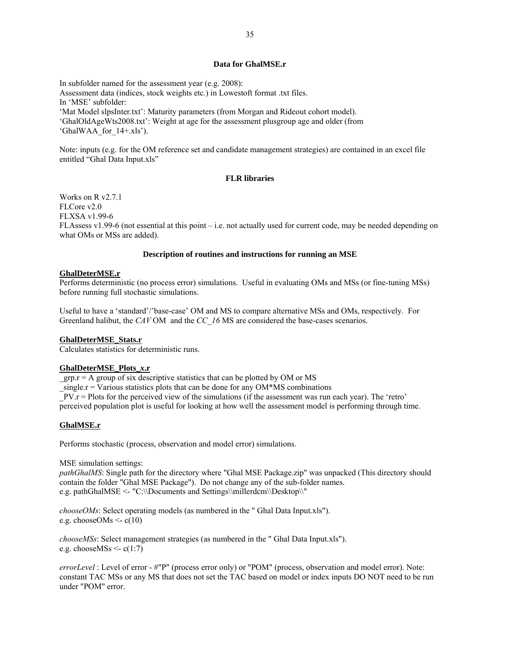## **Data for GhalMSE.r**

In subfolder named for the assessment year (e.g. 2008): Assessment data (indices, stock weights etc.) in Lowestoft format .txt files. In 'MSE' subfolder: 'Mat Model slpsInter.txt': Maturity parameters (from Morgan and Rideout cohort model). 'GhalOldAgeWts2008.txt': Weight at age for the assessment plusgroup age and older (from 'GhalWAA\_for\_14+.xls').

Note: inputs (e.g. for the OM reference set and candidate management strategies) are contained in an excel file entitled "Ghal Data Input.xls"

# **FLR libraries**

Works on R v2.7.1 FLCore v2.0 FLXSA v1.99-6 FLAssess v1.99-6 (not essential at this point – i.e. not actually used for current code, may be needed depending on what OMs or MSs are added).

## **Description of routines and instructions for running an MSE**

### **GhalDeterMSE.r**

Performs deterministic (no process error) simulations. Useful in evaluating OMs and MSs (or fine-tuning MSs) before running full stochastic simulations.

Useful to have a 'standard'/'base-case' OM and MS to compare alternative MSs and OMs, respectively. For Greenland halibut, the *CAV* OM and the *CC\_16* MS are considered the base-cases scenarios.

#### **GhalDeterMSE\_Stats.r**

Calculates statistics for deterministic runs.

### **GhalDeterMSE\_Plots\_***x***.r**

 $grp.r = A$  group of six descriptive statistics that can be plotted by OM or MS  $\text{Lissner} = \text{Various statistics plots that can be done for any OM*MS combinations}$  $PV.r = Plots$  for the perceived view of the simulations (if the assessment was run each year). The 'retro' perceived population plot is useful for looking at how well the assessment model is performing through time.

#### **GhalMSE.r**

Performs stochastic (process, observation and model error) simulations.

MSE simulation settings:

*pathGhalMS*: Single path for the directory where "Ghal MSE Package.zip" was unpacked (This directory should contain the folder "Ghal MSE Package"). Do not change any of the sub-folder names. e.g. pathGhalMSE <- "C:\\Documents and Settings\\millerdcm\\Desktop\\"

*chooseOMs*: Select operating models (as numbered in the " Ghal Data Input.xls"). e.g. chooseOMs  $\leq c(10)$ 

*chooseMSs*: Select management strategies (as numbered in the " Ghal Data Input.xls"). e.g. choose $\text{MSs} \leq c(1:7)$ 

*errorLevel* : Level of error - #"P" (process error only) or "POM" (process, observation and model error). Note: constant TAC MSs or any MS that does not set the TAC based on model or index inputs DO NOT need to be run under "POM" error.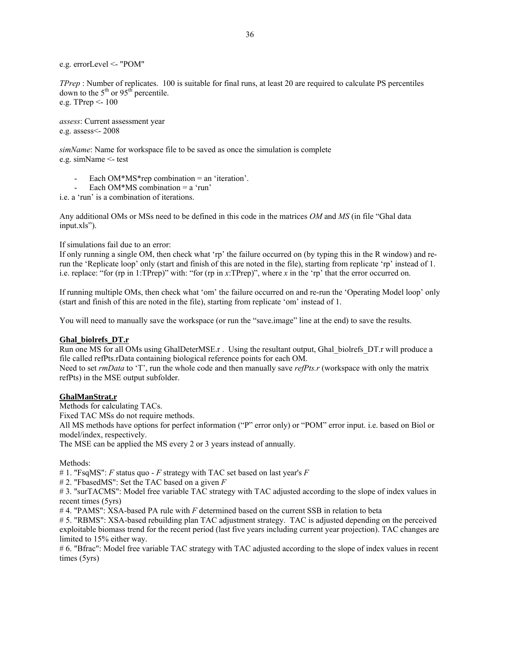e.g. errorLevel <- "POM"

*TPrep* : Number of replicates. 100 is suitable for final runs, at least 20 are required to calculate PS percentiles down to the  $5<sup>th</sup>$  or  $95<sup>th</sup>$  percentile. e.g. TPrep <- 100

*assess*: Current assessment year e.g. assess<- 2008

*simName*: Name for workspace file to be saved as once the simulation is complete e.g. simName <- test

Each  $OM*MS*rep$  combination = an 'iteration'.

Each OM\*MS combination  $= a$  'run'

i.e. a 'run' is a combination of iterations.

Any additional OMs or MSs need to be defined in this code in the matrices *OM* and *MS* (in file "Ghal data input.xls").

If simulations fail due to an error:

If only running a single OM, then check what 'rp' the failure occurred on (by typing this in the R window) and rerun the 'Replicate loop' only (start and finish of this are noted in the file), starting from replicate 'rp' instead of 1. i.e. replace: "for (rp in 1:TPrep)" with: "for (rp in *x*:TPrep)", where *x* in the 'rp' that the error occurred on.

If running multiple OMs, then check what 'om' the failure occurred on and re-run the 'Operating Model loop' only (start and finish of this are noted in the file), starting from replicate 'om' instead of 1.

You will need to manually save the workspace (or run the "save.image" line at the end) to save the results.

## **Ghal\_biolrefs\_DT.r**

Run one MS for all OMs using GhalDeterMSE.r. Using the resultant output, Ghal biolrefs DT.r will produce a file called refPts.rData containing biological reference points for each OM.

Need to set *rmData* to 'T', run the whole code and then manually save *refPts.r* (workspace with only the matrix refPts) in the MSE output subfolder.

## **GhalManStrat.r**

Methods for calculating TACs. Fixed TAC MSs do not require methods. All MS methods have options for perfect information ("P" error only) or "POM" error input. i.e. based on Biol or model/index, respectively. The MSE can be applied the MS every 2 or 3 years instead of annually.

Methods:

# 1. "FsqMS": *F* status quo - *F* strategy with TAC set based on last year's *F*

# 2. "FbasedMS": Set the TAC based on a given *F*

# 3. "surTACMS": Model free variable TAC strategy with TAC adjusted according to the slope of index values in recent times (5yrs)

# 4. "PAMS": XSA-based PA rule with *F* determined based on the current SSB in relation to beta

# 5. "RBMS": XSA-based rebuilding plan TAC adjustment strategy. TAC is adjusted depending on the perceived exploitable biomass trend for the recent period (last five years including current year projection). TAC changes are limited to 15% either way.

# 6. "Bfrac": Model free variable TAC strategy with TAC adjusted according to the slope of index values in recent times (5yrs)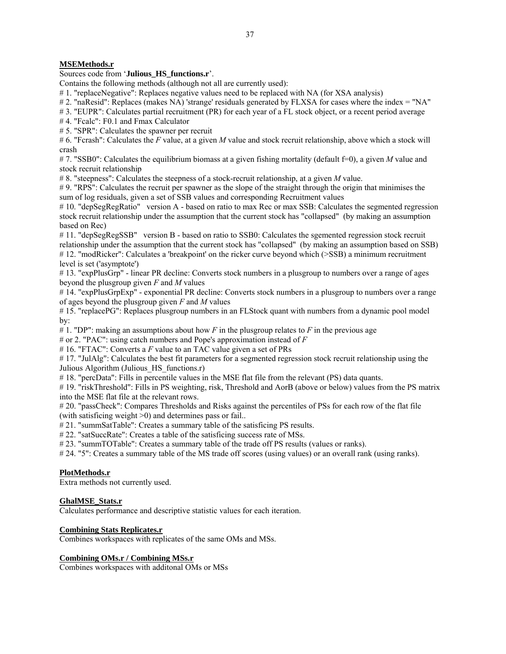# **MSEMethods.r**

# Sources code from '**Julious HS** functions.r'.

Contains the following methods (although not all are currently used):

# 1. "replaceNegative": Replaces negative values need to be replaced with NA (for XSA analysis)

# 2. "naResid": Replaces (makes NA) 'strange' residuals generated by FLXSA for cases where the index = "NA"

# 3. "EUPR": Calculates partial recruitment (PR) for each year of a FL stock object, or a recent period average

# 4. "Fcalc": F0.1 and Fmax Calculator

# 5. "SPR": Calculates the spawner per recruit

# 6. "Fcrash": Calculates the *F* value, at a given *M* value and stock recruit relationship, above which a stock will crash

# 7. "SSB0": Calculates the equilibrium biomass at a given fishing mortality (default f=0), a given *M* value and stock recruit relationship

# 8. "steepness": Calculates the steepness of a stock-recruit relationship, at a given *M* value.

# 9. "RPS": Calculates the recruit per spawner as the slope of the straight through the origin that minimises the sum of log residuals, given a set of SSB values and corresponding Recruitment values

# 10. "depSegRegRatio" version A - based on ratio to max Rec or max SSB: Calculates the segmented regression stock recruit relationship under the assumption that the current stock has "collapsed" (by making an assumption based on Rec)

# 11. "depSegRegSSB" version B - based on ratio to SSB0: Calculates the sgemented regression stock recruit relationship under the assumption that the current stock has "collapsed" (by making an assumption based on SSB) #12. "modRicker": Calculates a 'breakpoint' on the ricker curve beyond which (>SSB) a minimum recruitment level is set ('asymptote')

# 13. "expPlusGrp" - linear PR decline: Converts stock numbers in a plusgroup to numbers over a range of ages beyond the plusgroup given *F* and *M* values

# 14. "expPlusGrpExp" - exponential PR decline: Converts stock numbers in a plusgroup to numbers over a range of ages beyond the plusgroup given *F* and *M* values

# 15. "replacePG": Replaces plusgroup numbers in an FLStock quant with numbers from a dynamic pool model by:

# 1. "DP": making an assumptions about how *F* in the plusgroup relates to *F* in the previous age

# or 2. "PAC": using catch numbers and Pope's approximation instead of *F*

# 16. "FTAC": Converts a *F* value to an TAC value given a set of PRs

#17. "JulAlg": Calculates the best fit parameters for a segmented regression stock recruit relationship using the Julious Algorithm (Julious HS functions.r)

# 18. "percData": Fills in percentile values in the MSE flat file from the relevant (PS) data quants.

# 19. "riskThreshold": Fills in PS weighting, risk, Threshold and AorB (above or below) values from the PS matrix into the MSE flat file at the relevant rows.

# 20. "passCheck": Compares Thresholds and Risks against the percentiles of PSs for each row of the flat file (with satisficing weight >0) and determines pass or fail..

# 21. "summSatTable": Creates a summary table of the satisficing PS results.

# 22. "satSuccRate": Creates a table of the satisficing success rate of MSs.

# 23. "summTOTable": Creates a summary table of the trade off PS results (values or ranks).

# 24. "5": Creates a summary table of the MS trade off scores (using values) or an overall rank (using ranks).

# **PlotMethods.r**

Extra methods not currently used.

# **GhalMSE\_Stats.r**

Calculates performance and descriptive statistic values for each iteration.

# **Combining Stats Replicates.r**

Combines workspaces with replicates of the same OMs and MSs.

# **Combining OMs.r / Combining MSs.r**

Combines workspaces with additonal OMs or MSs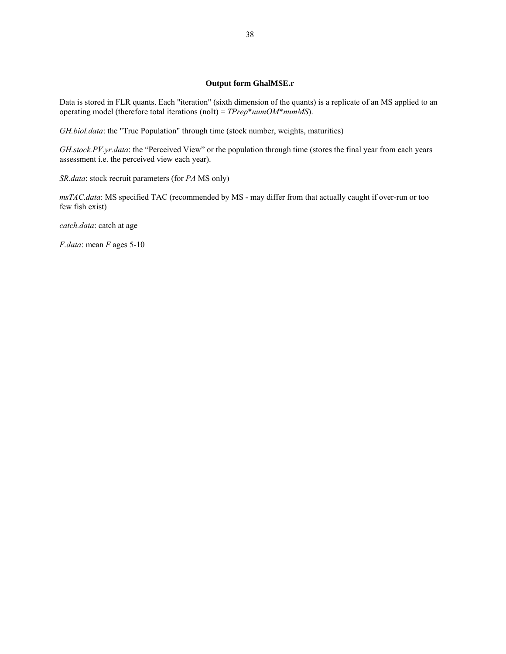## **Output form GhalMSE.r**

Data is stored in FLR quants. Each "iteration" (sixth dimension of the quants) is a replicate of an MS applied to an operating model (therefore total iterations (noIt) = *TPrep*\**numOM*\**numMS*).

*GH.biol.data*: the "True Population" through time (stock number, weights, maturities)

*GH.stock.PV.yr.data*: the "Perceived View" or the population through time (stores the final year from each years assessment i.e. the perceived view each year).

*SR.data*: stock recruit parameters (for *PA* MS only)

*msTAC.data*: MS specified TAC (recommended by MS - may differ from that actually caught if over-run or too few fish exist)

*catch.data*: catch at age

*F.data*: mean *F* ages 5-10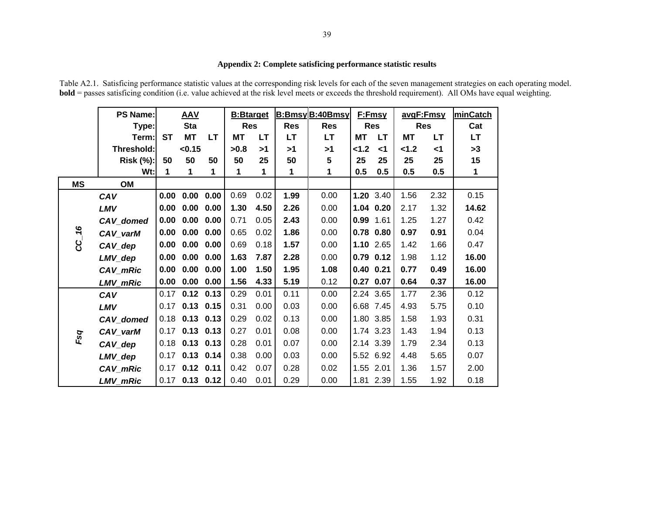# **Appendix 2: Complete satisficing performance statistic results**

Table A2.1. Satisficing performance statistic values at the corresponding risk levels for each of the seven management strategies on each operating model. **bold** = passes satisficing condition (i.e. value achieved at the risk level meets or exceeds the threshold requirement). All OMs have equal weighting.

|           | <b>PS Name:</b> |           | <b>AAV</b>       |           | <b>B:Btarget</b> |           |            | <b>B:Bmsy B:40Bmsy</b> |             | F:Fmsy      | avgF:Fmsy  |           | minCatch  |
|-----------|-----------------|-----------|------------------|-----------|------------------|-----------|------------|------------------------|-------------|-------------|------------|-----------|-----------|
|           | Type:           |           | <b>Sta</b>       |           | <b>Res</b>       |           | <b>Res</b> | <b>Res</b>             | <b>Res</b>  |             | <b>Res</b> |           | Cat       |
|           | Term:           | <b>ST</b> | <b>MT</b>        | <b>LT</b> | <b>MT</b>        | <b>LT</b> | <b>LT</b>  | <b>LT</b>              | <b>MT</b>   | <b>LT</b>   | <b>MT</b>  | <b>LT</b> | <b>LT</b> |
|           | Threshold:      |           | < 0.15           |           | >0.8             | >1        | >1         | >1                     | 1.2         | $\leq$ 1    | $2 - 1.2$  | $<$ 1     | >3        |
|           | Risk (%):       | 50        | 50               | 50        | 50               | 25        | 50         | ${\bf 5}$              | 25          | 25          | 25         | 25        | 15        |
|           | $Wt$ :          | 1         | 1                | 1         | 1                | 1         | 1          | 1                      | 0.5         | 0.5         | 0.5        | 0.5       | 1         |
| <b>MS</b> | OM              |           |                  |           |                  |           |            |                        |             |             |            |           |           |
|           | CAV             | 0.00      | 0.00             | 0.00      | 0.69             | 0.02      | 1.99       | 0.00                   | 1.20 3.40   |             | 1.56       | 2.32      | 0.15      |
|           | LMV             | 0.00      | 0.00             | 0.00      | 1.30             | 4.50      | 2.26       | 0.00                   | 1.04 0.20   |             | 2.17       | 1.32      | 14.62     |
|           | CAV_domed       | 0.00      | 0.00             | 0.00      | 0.71             | 0.05      | 2.43       | 0.00                   | 0.99        | 1.61        | 1.25       | 1.27      | 0.42      |
| 16        | CAV_varM        | 0.00      | 0.00             | 0.00      | 0.65             | 0.02      | 1.86       | 0.00                   | $0.78$ 0.80 |             | 0.97       | 0.91      | 0.04      |
| ပ္လ       | CAV_dep         | 0.00      | 0.00             | 0.00      | 0.69             | 0.18      | 1.57       | 0.00                   |             | $1.10$ 2.65 | 1.42       | 1.66      | 0.47      |
|           | LMV_dep         | 0.00      | 0.00             | 0.00      | 1.63             | 7.87      | 2.28       | 0.00                   | $0.79$ 0.12 |             | 1.98       | 1.12      | 16.00     |
|           | CAV_mRic        | 0.00      | 0.00             | 0.00      | 1.00             | 1.50      | 1.95       | 1.08                   | $0.40$ 0.21 |             | 0.77       | 0.49      | 16.00     |
|           | LMV_mRic        | 0.00      | 0.00             | 0.00      | 1.56             | 4.33      | 5.19       | 0.12                   | $0.27$ 0.07 |             | 0.64       | 0.37      | 16.00     |
|           | CAV             | 0.17      | $0.12$ $0.13$    |           | 0.29             | 0.01      | 0.11       | 0.00                   |             | 2.24 3.65   | 1.77       | 2.36      | 0.12      |
|           | LMV             |           | $0.17$ 0.13 0.15 |           | 0.31             | 0.00      | 0.03       | 0.00                   |             | 6.68 7.45   | 4.93       | 5.75      | 0.10      |
|           | CAV_domed       | 0.18      | $0.13$ $0.13$    |           | 0.29             | 0.02      | 0.13       | 0.00                   |             | 1.80 3.85   | 1.58       | 1.93      | 0.31      |
| Fsq       | CAV_varM        | 0.17      | $0.13$ $0.13$    |           | 0.27             | 0.01      | 0.08       | 0.00                   |             | 1.74 3.23   | 1.43       | 1.94      | 0.13      |
|           | CAV_dep         |           | $0.18$ 0.13 0.13 |           | 0.28             | 0.01      | 0.07       | 0.00                   |             | 2.14 3.39   | 1.79       | 2.34      | 0.13      |
|           | LMV_dep         | 0.17      | $0.13$ $0.14$    |           | 0.38             | 0.00      | 0.03       | 0.00                   | 5.52 6.92   |             | 4.48       | 5.65      | 0.07      |
|           | CAV_mRic        | 0.17      | $0.12$ 0.11      |           | 0.42             | 0.07      | 0.28       | 0.02                   | 1.55 2.01   |             | 1.36       | 1.57      | 2.00      |
|           | <b>LMV</b> mRic |           | $0.17$ 0.13 0.12 |           | 0.40             | 0.01      | 0.29       | 0.00                   |             | 1.81 2.39   | 1.55       | 1.92      | 0.18      |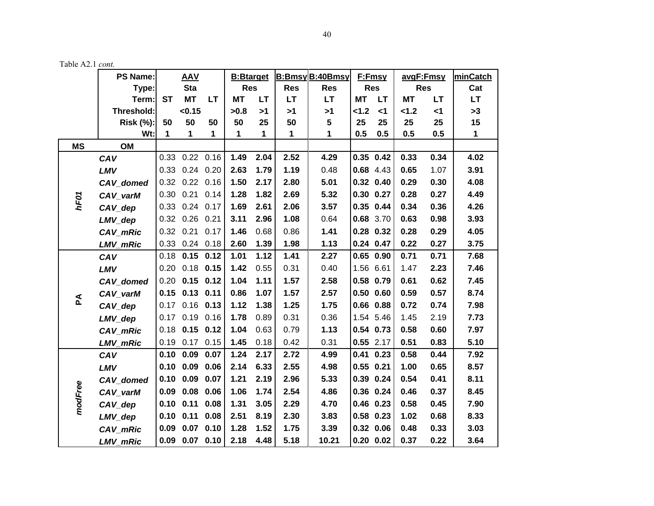|              | <b>PS Name:</b>  |           | <b>AAV</b>           |           | <b>B:Btarget</b> |           |             | <b>B:Bmsy B:40Bmsy</b> |               | F:Fmsy        | avgF:Fmsy  |           | minCatch    |
|--------------|------------------|-----------|----------------------|-----------|------------------|-----------|-------------|------------------------|---------------|---------------|------------|-----------|-------------|
|              | Type:            |           | <b>Sta</b>           |           | <b>Res</b>       |           | <b>Res</b>  | <b>Res</b>             |               | <b>Res</b>    | <b>Res</b> |           | Cat         |
|              | Term:            | <b>ST</b> | <b>MT</b>            | <b>LT</b> | <b>MT</b>        | <b>LT</b> | <b>LT</b>   | <b>LT</b>              | <b>MT</b>     | <b>LT</b>     | <b>MT</b>  | <b>LT</b> | <b>LT</b>   |
|              | Threshold:       |           | < 0.15               |           | >0.8             | >1        | >1          | >1                     | 1.2           | $<$ 1         | 1.2        | $<$ 1     | >3          |
|              | <b>Risk (%):</b> | 50        | 50                   | 50        | 50               | 25        | 50          | 5                      | 25            | 25            | 25         | 25        | 15          |
|              | Wt:              | 1         | 1                    | 1         | 1                | 1         | $\mathbf 1$ | 1                      | 0.5           | 0.5           | 0.5        | 0.5       | $\mathbf 1$ |
| <b>MS</b>    | OM               |           |                      |           |                  |           |             |                        |               |               |            |           |             |
|              | CAV              | 0.33      | $0.22$ 0.16          |           | 1.49             | 2.04      | 2.52        | 4.29                   | $0.35$ $0.42$ |               | 0.33       | 0.34      | 4.02        |
|              | LMV              | 0.33      | $0.24$ 0.20          |           | 2.63             | 1.79      | 1.19        | 0.48                   |               | 0.68 4.43     | 0.65       | 1.07      | 3.91        |
|              | CAV_domed        | 0.32      | $0.22$ 0.16          |           | 1.50             | 2.17      | 2.80        | 5.01                   | $0.32$ $0.40$ |               | 0.29       | 0.30      | 4.08        |
| hF01         | CAV varM         | 0.30      | $0.21$ 0.14          |           | 1.28             | 1.82      | 2.69        | 5.32                   | $0.30$ $0.27$ |               | 0.28       | 0.27      | 4.49        |
|              | CAV_dep          | 0.33      | $0.24$ 0.17          |           | 1.69             | 2.61      | 2.06        | 3.57                   | 0.35 0.44     |               | 0.34       | 0.36      | 4.26        |
|              | LMV_dep          |           | 0.32 0.26 0.21       |           | 3.11             | 2.96      | 1.08        | 0.64                   |               | 0.68 3.70     | 0.63       | 0.98      | 3.93        |
|              | CAV_mRic         |           | 0.32 0.21 0.17       |           | 1.46             | 0.68      | 0.86        | 1.41                   |               | $0.28$ 0.32   | 0.28       | 0.29      | 4.05        |
|              | LMV_mRic         |           | 0.33 0.24 0.18       |           | 2.60             | 1.39      | 1.98        | 1.13                   |               | $0.24$ 0.47   | 0.22       | 0.27      | 3.75        |
|              | CAV              | 0.18      | $0.15$ $0.12$        |           | 1.01             | 1.12      | 1.41        | 2.27                   | $0.65$ 0.90   |               | 0.71       | 0.71      | 7.68        |
|              | LMV              |           | $0.20$ 0.18 0.15     |           | 1.42             | 0.55      | 0.31        | 0.40                   |               | 1.56 6.61     | 1.47       | 2.23      | 7.46        |
|              | CAV_domed        | 0.20      | $0.15$ $0.12$        |           | 1.04             | 1.11      | 1.57        | 2.58                   |               | 0.58 0.79     | 0.61       | 0.62      | 7.45        |
|              | CAV_varM         | 0.15      | $0.13$ $0.11$        |           | 0.86             | 1.07      | 1.57        | 2.57                   | $0.50$ $0.60$ |               | 0.59       | 0.57      | 8.74        |
| $\mathbf{z}$ | CAV_dep          | 0.17      | $0.16$ 0.13          |           | 1.12             | 1.38      | 1.25        | 1.75                   |               | $0.66$ $0.88$ | 0.72       | 0.74      | 7.98        |
|              | LMV_dep          | 0.17      | $0.19$ $0.16$        |           | 1.78             | 0.89      | 0.31        | 0.36                   |               | 1.54 5.46     | 1.45       | 2.19      | 7.73        |
|              | CAV_mRic         |           | $0.18$ 0.15 0.12     |           | 1.04             | 0.63      | 0.79        | 1.13                   |               | $0.54$ 0.73   | 0.58       | 0.60      | 7.97        |
|              | LMV_mRic         |           | 0.19 0.17 0.15       |           | 1.45             | 0.18      | 0.42        | 0.31                   | $0.55$ 2.17   |               | 0.51       | 0.83      | 5.10        |
|              | CAV              | 0.10      | 0.09                 | 0.07      | 1.24             | 2.17      | 2.72        | 4.99                   |               | $0.41$ $0.23$ | 0.58       | 0.44      | 7.92        |
|              | LMV              | 0.10      | 0.09                 | 0.06      | 2.14             | 6.33      | 2.55        | 4.98                   |               | $0.55$ 0.21   | 1.00       | 0.65      | 8.57        |
|              | CAV domed        | 0.10      | $0.09$ 0.07          |           | 1.21             | 2.19      | 2.96        | 5.33                   | 0.39 0.24     |               | 0.54       | 0.41      | 8.11        |
|              | CAV_varM         | 0.09      | 0.08                 | 0.06      | 1.06             | 1.74      | 2.54        | 4.86                   |               | 0.36 0.24     | 0.46       | 0.37      | 8.45        |
| modFree      | CAV dep          | 0.10      | 0.11                 | 0.08      | 1.31             | 3.05      | 2.29        | 4.70                   | $0.46$ $0.23$ |               | 0.58       | 0.45      | 7.90        |
|              | LMV_dep          | 0.10      | 0.11                 | 0.08      | 2.51             | 8.19      | 2.30        | 3.83                   | $0.58$ 0.23   |               | 1.02       | 0.68      | 8.33        |
|              | CAV_mRic         | 0.09      | $0.07$ 0.10          |           | 1.28             | 1.52      | 1.75        | 3.39                   |               | $0.32$ 0.06   | 0.48       | 0.33      | 3.03        |
|              | <b>LMV mRic</b>  |           | $0.09$ $0.07$ $0.10$ |           | 2.18             | 4.48      | 5.18        | 10.21                  |               | $0.20$ $0.02$ | 0.37       | 0.22      | 3.64        |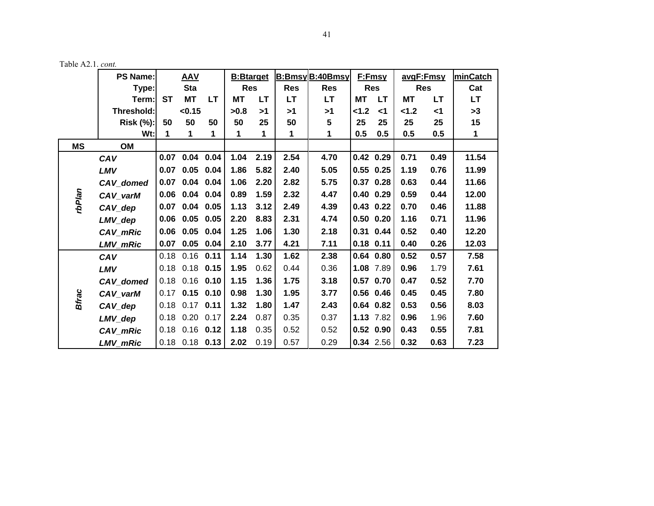|              | <b>PS Name:</b>       |           | <b>AAV</b>           |      | <b>B:Btarget</b> |           |            | <b>B:BmsyB:40Bmsy</b> |             | F:Fmsy        | avgF:Fmsy  |           | minCatch  |
|--------------|-----------------------|-----------|----------------------|------|------------------|-----------|------------|-----------------------|-------------|---------------|------------|-----------|-----------|
|              | Type:                 |           | <b>Sta</b>           |      | <b>Res</b>       |           | <b>Res</b> | <b>Res</b>            |             | <b>Res</b>    | <b>Res</b> |           | Cat       |
|              | Term:                 | <b>ST</b> | <b>MT</b>            | LТ   | МT               | <b>LT</b> | <b>LT</b>  | <b>LT</b>             | МT          | LT.           | <b>MT</b>  | <b>LT</b> | <b>LT</b> |
|              | Threshold:            |           | < 0.15               |      | >0.8             | >1        | >1         | >1                    | 1.2         | $<$ 1         | < 1.2      | <1        | >3        |
|              | <b>Risk (%):</b>      | 50        | 50                   | 50   | 50               | 25        | 50         | 5                     | 25          | 25            | 25         | 25        | 15        |
|              | Wt:l                  | 1         | 1                    | 1    | 1                | 1         | 1          | 1                     | 0.5         | 0.5           | 0.5        | 0.5       | 1         |
| <b>MS</b>    | <b>OM</b>             |           |                      |      |                  |           |            |                       |             |               |            |           |           |
|              | CAV                   |           | $0.07$ 0.04 0.04     |      | 1.04             | 2.19      | 2.54       | 4.70                  |             | $0.42$ 0.29   | 0.71       | 0.49      | 11.54     |
|              | LMV                   | 0.07      | 0.05                 | 0.04 | 1.86             | 5.82      | 2.40       | 5.05                  |             | $0.55$ 0.25   | 1.19       | 0.76      | 11.99     |
|              | CAV_domed             | 0.07      | $0.04$ 0.04          |      | 1.06             | 2.20      | 2.82       | 5.75                  |             | $0.37$ 0.28   | 0.63       | 0.44      | 11.66     |
| rbPlan       | CAV_varM              |           | $0.06$ $0.04$ $0.04$ |      | 0.89             | 1.59      | 2.32       | 4.47                  |             | $0.40$ 0.29   | 0.59       | 0.44      | 12.00     |
|              | $CAV$ <sub>_dep</sub> | 0.07      | 0.04                 | 0.05 | 1.13             | 3.12      | 2.49       | 4.39                  |             | $0.43$ 0.22   | 0.70       | 0.46      | 11.88     |
|              | LMV_dep               | 0.06      | 0.05                 | 0.05 | 2.20             | 8.83      | 2.31       | 4.74                  |             | $0.50$ $0.20$ | 1.16       | 0.71      | 11.96     |
|              | CAV_mRic              | 0.06      | 0.05                 | 0.04 | 1.25             | 1.06      | 1.30       | 2.18                  |             | 0.31 0.44     | 0.52       | 0.40      | 12.20     |
|              | LMV_mRic              | 0.07      | 0.05                 | 0.04 | 2.10             | 3.77      | 4.21       | 7.11                  | $0.18$ 0.11 |               | 0.40       | 0.26      | 12.03     |
|              | CAV                   | 0.18      | 0.16                 | 0.11 | 1.14             | 1.30      | 1.62       | 2.38                  |             | $0.64$ 0.80   | 0.52       | 0.57      | 7.58      |
|              | LMV                   |           | $0.18$ 0.18 0.15     |      | 1.95             | 0.62      | 0.44       | 0.36                  |             | 1.08 7.89     | 0.96       | 1.79      | 7.61      |
|              | CAV_domed             | 0.18      | $0.16$ 0.10          |      | 1.15             | 1.36      | 1.75       | 3.18                  |             | $0.57$ 0.70   | 0.47       | 0.52      | 7.70      |
| <b>Bfrac</b> | CAV_varM              | 0.17      | $0.15$ 0.10          |      | 0.98             | 1.30      | 1.95       | 3.77                  |             | $0.56$ 0.46   | 0.45       | 0.45      | 7.80      |
|              | $CAV_{\_}dep$         | 0.18      | $0.17$ 0.11          |      | 1.32             | 1.80      | 1.47       | 2.43                  |             | $0.64$ 0.82   | 0.53       | 0.56      | 8.03      |
|              | LMV_dep               | 0.18      | 0.20                 | 0.17 | 2.24             | 0.87      | 0.35       | 0.37                  |             | 1.13 7.82     | 0.96       | 1.96      | 7.60      |
|              | CAV_mRic              | 0.18      | $0.16$ 0.12          |      | 1.18             | 0.35      | 0.52       | 0.52                  |             | $0.52$ 0.90   | 0.43       | 0.55      | 7.81      |
|              | LMV_mRic              |           | $0.18$ 0.18 0.13     |      | 2.02             | 0.19      | 0.57       | 0.29                  |             | 0.34 2.56     | 0.32       | 0.63      | 7.23      |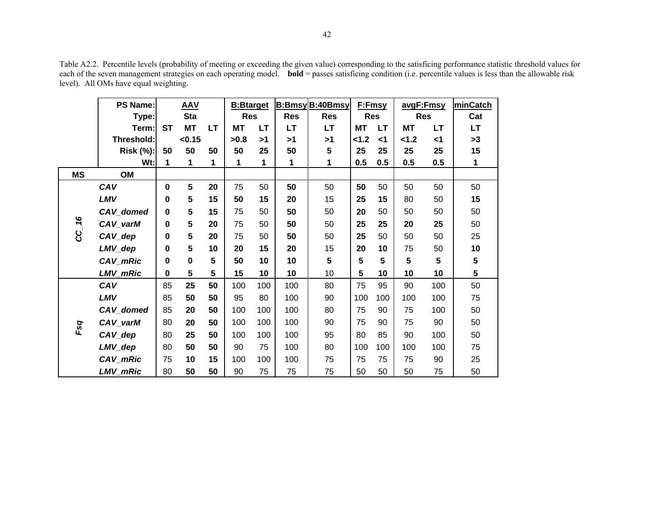Table A2.2. Percentile levels (probability of meeting or exceeding the given value) corresponding to the satisficing performance statistic threshold values for each of the seven management strategies on each operating model. **bold** = passes satisficing condition (i.e. percentile values is less than the allowable risk level). All OMs have equal weighting.

|           | <b>PS Name:</b>  |             | <b>AAV</b> |                         | <b>B:Btarget</b> |     |            | <b>B:BmsyB:40Bmsy</b> |                 | F:Fmsy     |           | avgF:Fmsy      | minCatch     |
|-----------|------------------|-------------|------------|-------------------------|------------------|-----|------------|-----------------------|-----------------|------------|-----------|----------------|--------------|
|           | Type:            |             | <b>Sta</b> |                         | <b>Res</b>       |     | <b>Res</b> | <b>Res</b>            |                 | <b>Res</b> |           | <b>Res</b>     | Cat          |
|           | Term:            | <b>ST</b>   | <b>MT</b>  | <b>LT</b>               | МT               | LT  | <b>LT</b>  | <b>LT</b>             | <b>MT</b>       | LT         | <b>MT</b> | <b>LT</b>      | LT           |
|           | Threshold:       |             | < 0.15     |                         | >0.8             | >1  | >1         | >1                    | 1.2             | ا>         | < 1.2     | ا>             | >3           |
|           | <b>Risk (%):</b> | 50          | 50         | 50                      | 50               | 25  | 50         | 5                     | 25              | 25         | 25        | 25             | 15           |
|           | Wt:              | 1           | 1          | 1                       | 1                | 1   | 1          | 1                     | 0.5             | 0.5        | 0.5       | 0.5            | $\mathbf{1}$ |
| <b>MS</b> | OM               |             |            |                         |                  |     |            |                       |                 |            |           |                |              |
|           | CAV              | $\mathbf 0$ | 5          | 20                      | 75               | 50  | 50         | 50                    | 50              | 50         | 50        | 50             | 50           |
|           | LMV              | 0           | 5          | 15                      | 50               | 15  | 20         | 15                    | 25              | 15         | 80        | 50             | 15           |
|           | CAV_domed        | $\mathbf 0$ | 5          | 15                      | 75               | 50  | 50         | 50                    | 20              | 50         | 50        | 50             | 50           |
| $CC-16$   | CAV_varM         | $\mathbf 0$ | 5          | 20                      | 75               | 50  | 50         | 50                    | 25              | 25         | 20        | 25             | 50           |
|           | CAV_dep          | $\mathbf 0$ | 5          | 20                      | 75               | 50  | 50         | 50                    | 25              | 50         | 50        | 50             | 25           |
|           | LMV_dep          | 0           | 5          | 10                      | 20               | 15  | 20         | 15                    | 20              | 10         | 75        | 50             | 10           |
|           | CAV_mRic         | $\mathbf 0$ | $\pmb{0}$  | 5                       | 50               | 10  | 10         | 5                     | 5               | 5          | 5         | $5\phantom{1}$ | 5            |
|           | LMV_mRic         | $\mathbf 0$ | 5          | $\overline{\mathbf{5}}$ | 15               | 10  | 10         | 10                    | $5\phantom{.0}$ | 10         | 10        | 10             | 5            |
|           | CAV              | 85          | 25         | 50                      | 100              | 100 | 100        | 80                    | 75              | 95         | 90        | 100            | 50           |
|           | LMV              | 85          | 50         | 50                      | 95               | 80  | 100        | 90                    | 100             | 100        | 100       | 100            | 75           |
|           | CAV_domed        | 85          | 20         | 50                      | 100              | 100 | 100        | 80                    | 75              | 90         | 75        | 100            | 50           |
| Fsq       | CAV_varM         | 80          | 20         | 50                      | 100              | 100 | 100        | 90                    | 75              | 90         | 75        | 90             | 50           |
|           | CAV_dep          | 80          | 25         | 50                      | 100              | 100 | 100        | 95                    | 80              | 85         | 90        | 100            | 50           |
|           | LMV_dep          | 80          | 50         | 50                      | 90               | 75  | 100        | 80                    | 100             | 100        | 100       | 100            | 75           |
|           | CAV_mRic         | 75          | 10         | 15                      | 100              | 100 | 100        | 75                    | 75              | 75         | 75        | 90             | 25           |
|           | LMV_mRic         | 80          | 50         | 50                      | 90               | 75  | 75         | 75                    | 50              | 50         | 50        | 75             | 50           |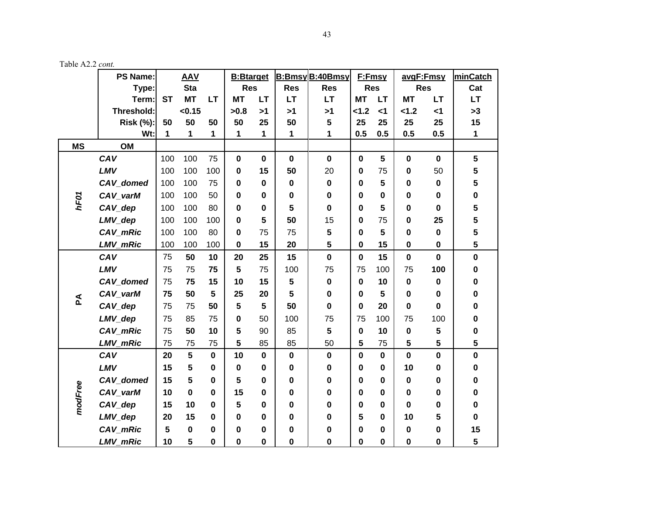|           | <b>PS Name:</b>  | <b>AAV</b> |           | <b>B:Btarget</b> |                         |             | <b>B:Bmsy B:40Bmsy</b> | F:Fmsy      |             | avgF:Fmsy    |             | minCatch    |                         |
|-----------|------------------|------------|-----------|------------------|-------------------------|-------------|------------------------|-------------|-------------|--------------|-------------|-------------|-------------------------|
|           | Type:            | <b>Sta</b> |           | <b>Res</b>       |                         | <b>Res</b>  | <b>Res</b>             | <b>Res</b>  |             | <b>Res</b>   |             | Cat         |                         |
|           | Term:            | <b>ST</b>  | <b>MT</b> | <b>LT</b>        | <b>MT</b>               | <b>LT</b>   | <b>LT</b>              | <b>LT</b>   | <b>MT</b>   | <b>LT</b>    | <b>MT</b>   | <b>LT</b>   | <b>LT</b>               |
|           | Threshold:       |            | < 0.15    |                  | >0.8                    | >1          | >1                     | >1          | 1.2         | < 1          | 1.2         | $\leq 1$    | >3                      |
|           | <b>Risk (%):</b> | 50         | 50        | 50               | 50                      | 25          | 50                     | 5           | 25          | 25           | 25          | 25          | 15                      |
|           | Wt:              | 1          | 1         | 1                | 1                       | 1           | 1                      | 1           | 0.5         | 0.5          | 0.5         | 0.5         | $\mathbf{1}$            |
| <b>MS</b> | OM               |            |           |                  |                         |             |                        |             |             |              |             |             |                         |
| hF01      | CAV              | 100        | 100       | 75               | $\mathbf 0$             | $\mathbf 0$ | $\mathbf 0$            | $\mathbf 0$ | $\mathbf 0$ | 5            | $\mathbf 0$ | $\mathbf 0$ | $5\phantom{a}$          |
|           | LMV              | 100        | 100       | 100              | $\mathbf 0$             | 15          | 50                     | 20          | $\mathbf 0$ | 75           | 0           | 50          | $\overline{\mathbf{5}}$ |
|           | CAV_domed        | 100        | 100       | 75               | $\bf{0}$                | 0           | $\mathbf 0$            | $\bf{0}$    | $\bf{0}$    | 5            | 0           | $\mathbf 0$ | $\overline{\mathbf{5}}$ |
|           | CAV_varM         | 100        | 100       | 50               | $\mathbf 0$             | 0           | 0                      | 0           | $\mathbf 0$ | 0            | 0           | 0           | $\pmb{0}$               |
|           | CAV_dep          | 100        | 100       | 80               | $\bf{0}$                | 0           | 5                      | $\mathbf 0$ | $\bf{0}$    | 5            | $\mathbf 0$ | $\mathbf 0$ | 5                       |
|           | LMV_dep          | 100        | 100       | 100              | $\mathbf 0$             | 5           | 50                     | 15          | $\mathbf 0$ | 75           | 0           | 25          | 5                       |
|           | CAV_mRic         | 100        | 100       | 80               | $\bf{0}$                | 75          | 75                     | 5           | $\bf{0}$    | 5            | 0           | $\mathbf 0$ | 5                       |
|           | LMV_mRic         | 100        | 100       | 100              | $\bf{0}$                | 15          | 20                     | 5           | $\mathbf 0$ | 15           | 0           | $\pmb{0}$   | 5                       |
| Ã         | CAV              | 75         | 50        | 10               | 20                      | 25          | 15                     | $\pmb{0}$   | $\mathbf 0$ | 15           | $\mathbf 0$ | $\mathbf 0$ | $\mathbf 0$             |
|           | LMV              | 75         | 75        | 75               | 5                       | 75          | 100                    | 75          | 75          | 100          | 75          | 100         | $\mathbf 0$             |
|           | CAV_domed        | 75         | 75        | 15               | 10                      | 15          | 5                      | $\pmb{0}$   | $\mathbf 0$ | 10           | $\mathbf 0$ | $\pmb{0}$   | $\pmb{0}$               |
|           | CAV_varM         | 75         | 50        | 5                | 25                      | 20          | 5                      | $\mathbf 0$ | $\bf{0}$    | 5            | 0           | $\bf{0}$    | $\mathbf 0$             |
|           | CAV_dep          | 75         | 75        | 50               | $5\phantom{.0}$         | 5           | 50                     | $\mathbf 0$ | $\bf{0}$    | 20           | 0           | $\mathbf 0$ | $\mathbf 0$             |
|           | LMV_dep          | 75         | 85        | 75               | $\bf{0}$                | 50          | 100                    | 75          | 75          | 100          | 75          | 100         | $\bf{0}$                |
|           | CAV_mRic         | 75         | 50        | 10               | 5                       | 90          | 85                     | 5           | $\bf{0}$    | 10           | 0           | 5           | $\mathbf 0$             |
|           | <b>LMV_mRic</b>  | 75         | 75        | 75               | 5                       | 85          | 85                     | 50          | 5           | 75           | 5           | 5           | 5                       |
| modFree   | CAV              | 20         | 5         | $\mathbf 0$      | 10                      | $\mathbf 0$ | $\mathbf 0$            | $\mathbf 0$ | $\mathbf 0$ | $\mathbf{0}$ | $\mathbf 0$ | $\mathbf 0$ | $\mathbf 0$             |
|           | LMV              | 15         | 5         | $\mathbf 0$      | $\mathbf 0$             | 0           | $\mathbf 0$            | $\bf{0}$    | $\bf{0}$    | 0            | 10          | 0           | $\mathbf 0$             |
|           | CAV_domed        | 15         | 5         | $\mathbf 0$      | $5\phantom{.0}$         | 0           | $\bf{0}$               | $\mathbf 0$ | $\bf{0}$    | 0            | $\bf{0}$    | 0           | $\bf{0}$                |
|           | CAV_varM         | 10         | $\bf{0}$  | 0                | 15                      | 0           | 0                      | 0           | $\bf{0}$    | 0            | 0           | 0           | $\mathbf 0$             |
|           | CAV_dep          | 15         | 10        | $\bf{0}$         | $\overline{\mathbf{5}}$ | 0           | 0                      | $\mathbf 0$ | $\bf{0}$    | 0            | 0           | 0           | $\mathbf 0$             |
|           | LMV_dep          | 20         | 15        | $\mathbf 0$      | $\bf{0}$                | 0           | 0                      | $\mathbf 0$ | 5           | 0            | 10          | 5           | $\mathbf 0$             |
|           | CAV_mRic         | 5          | $\pmb{0}$ | $\bf{0}$         | 0                       | 0           | 0                      | $\pmb{0}$   | $\bf{0}$    | 0            | 0           | 0           | 15                      |
|           | <b>LMV_mRic</b>  | 10         | 5         | $\mathbf 0$      | 0                       | $\mathbf 0$ | 0                      | $\mathbf 0$ | $\bf{0}$    | 0            | 0           | 0           | 5                       |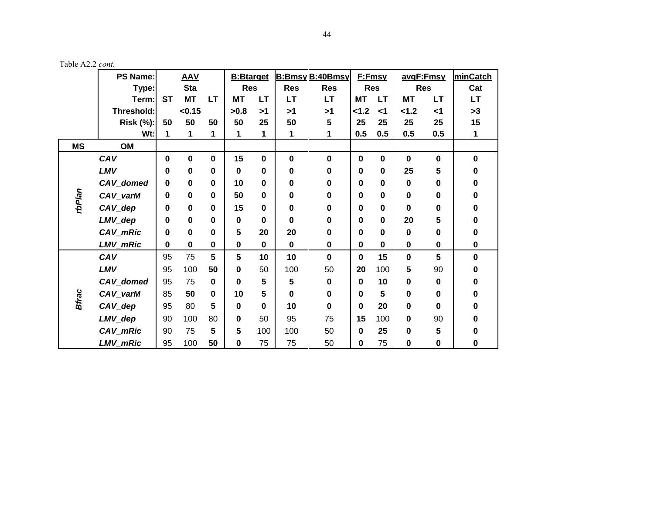|              | <b>PS Name:</b>  | <b>AAV</b>  |             | <b>B:</b> Btarget |                         | <b>B:Bmsy B:40Bmsy</b> |             | F:Fmsy      |             | avgF:Fmsy   |             | minCatch    |             |
|--------------|------------------|-------------|-------------|-------------------|-------------------------|------------------------|-------------|-------------|-------------|-------------|-------------|-------------|-------------|
|              | Type:            |             | <b>Sta</b>  |                   | <b>Res</b>              |                        | <b>Res</b>  | <b>Res</b>  | <b>Res</b>  |             | <b>Res</b>  |             | Cat         |
|              | Term:            | <b>ST</b>   | <b>MT</b>   | LT.               | <b>MT</b>               | <b>LT</b>              | <b>LT</b>   | <b>LT</b>   | <b>MT</b>   | <b>LT</b>   | <b>MT</b>   | <b>LT</b>   | LT.         |
|              | Threshold:       |             | < 0.15      |                   | >0.8                    | >1                     | >1          | >1          | 1.2         | $<$ 1       | < 1.2       | $\leq$ 1    | >3          |
|              | <b>Risk (%):</b> | 50          | 50          | 50                | 50                      | 25                     | 50          | 5           | 25          | 25          | 25          | 25          | 15          |
|              | $Wt$ :           | 1           | 1           | 1                 | 1                       |                        | 1           | 1           | 0.5         | 0.5         | 0.5         | 0.5         | 1           |
| <b>MS</b>    | OM               |             |             |                   |                         |                        |             |             |             |             |             |             |             |
| rbPlan       | CAV              | $\mathbf 0$ | $\bf{0}$    | $\mathbf 0$       | 15                      | $\mathbf 0$            | $\mathbf 0$ | $\mathbf 0$ | $\mathbf 0$ | $\bf{0}$    | $\mathbf 0$ | $\mathbf 0$ | $\mathbf 0$ |
|              | LMV              | 0           | $\bf{0}$    | $\bf{0}$          | $\bf{0}$                | $\bf{0}$               | 0           | $\mathbf 0$ | $\bf{0}$    | $\bf{0}$    | 25          | 5           | 0           |
|              | CAV_domed        | $\bf{0}$    | $\bf{0}$    | $\bf{0}$          | 10                      | $\mathbf 0$            | 0           | $\mathbf 0$ | 0           | 0           | $\bf{0}$    | $\bf{0}$    | 0           |
|              | CAV_varM         | 0           | $\mathbf 0$ | $\pmb{0}$         | 50                      | 0                      | 0           | $\pmb{0}$   | $\bf{0}$    | 0           | $\bf{0}$    | 0           | 0           |
|              | $CAV_{dep}$      | 0           | $\bf{0}$    | $\mathbf 0$       | 15                      | 0                      | 0           | $\bf{0}$    | $\bf{0}$    | $\bf{0}$    | $\bf{0}$    | 0           | 0           |
|              | LMV_dep          | 0           | $\bf{0}$    | $\mathbf 0$       | $\bf{0}$                | 0                      | 0           | $\mathbf 0$ | $\bf{0}$    | 0           | 20          | 5           | 0           |
|              | CAV_mRic         | 0           | $\bf{0}$    | $\mathbf 0$       | $\overline{\mathbf{5}}$ | 20                     | 20          | $\pmb{0}$   | $\bf{0}$    | $\bf{0}$    | $\bf{0}$    | 0           | 0           |
|              | LMV_mRic         | $\mathbf 0$ | $\bf{0}$    | $\pmb{0}$         | $\pmb{0}$               | $\mathbf 0$            | $\mathbf 0$ | $\pmb{0}$   | $\mathbf 0$ | $\mathbf 0$ | $\mathbf 0$ | $\mathbf 0$ | $\mathbf 0$ |
| <b>Bfrac</b> | CAV              | 95          | 75          | 5                 | 5                       | 10                     | 10          | $\mathbf 0$ | $\mathbf 0$ | 15          | $\mathbf 0$ | 5           | $\bf{0}$    |
|              | LMV              | 95          | 100         | 50                | $\mathbf 0$             | 50                     | 100         | 50          | 20          | 100         | 5           | 90          | 0           |
|              | CAV_domed        | 95          | 75          | $\mathbf 0$       | $\bf{0}$                | 5                      | 5           | $\bf{0}$    | $\bf{0}$    | 10          | 0           | 0           | 0           |
|              | CAV_varM         | 85          | 50          | $\mathbf 0$       | 10                      | 5                      | $\bf{0}$    | $\mathbf 0$ | $\bf{0}$    | 5           | $\bf{0}$    | $\bf{0}$    | 0           |
|              | CAV_dep          | 95          | 80          | 5                 | $\bf{0}$                | $\bf{0}$               | 10          | $\mathbf 0$ | $\bf{0}$    | 20          | 0           | $\bf{0}$    | 0           |
|              | LMV_dep          | 90          | 100         | 80                | $\mathbf 0$             | 50                     | 95          | 75          | 15          | 100         | 0           | 90          | 0           |
|              | CAV_mRic         | 90          | 75          | 5                 | $5\phantom{.0}$         | 100                    | 100         | 50          | $\bf{0}$    | 25          | $\mathbf 0$ | 5           | 0           |
|              | LMV_mRic         | 95          | 100         | 50                | $\mathbf 0$             | 75                     | 75          | 50          | 0           | 75          | $\mathbf 0$ | $\mathbf 0$ | 0           |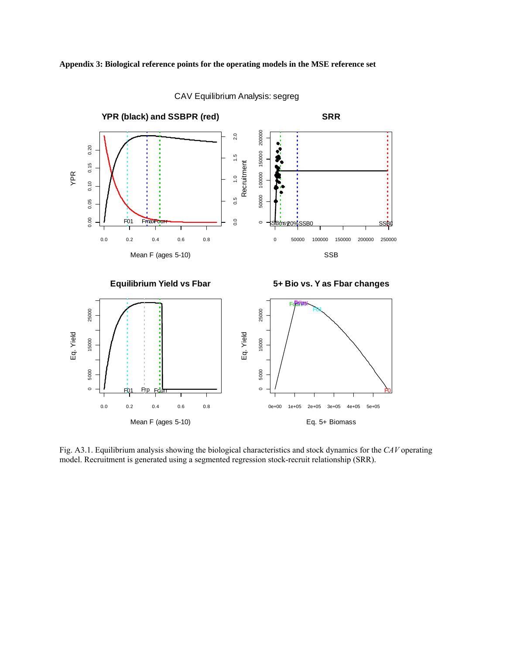

CAV Equilibrium Analysis: segreg

Fig. A3.1. Equilibrium analysis showing the biological characteristics and stock dynamics for the *CAV* operating model. Recruitment is generated using a segmented regression stock-recruit relationship (SRR).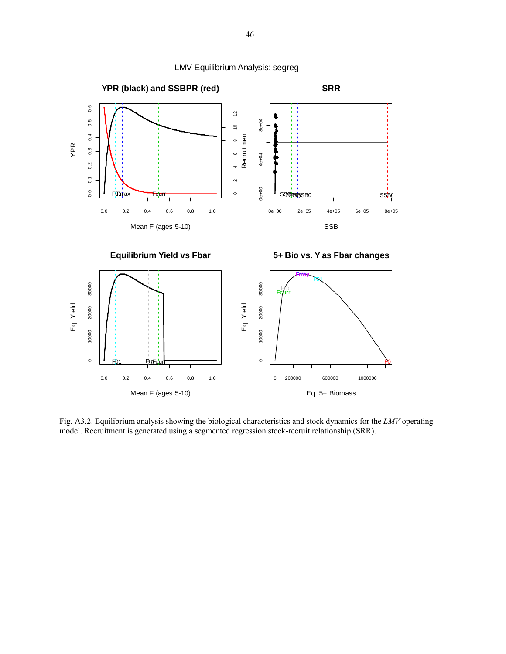

Fig. A3.2. Equilibrium analysis showing the biological characteristics and stock dynamics for the *LMV* operating model. Recruitment is generated using a segmented regression stock-recruit relationship (SRR).

LMV Equilibrium Analysis: segreg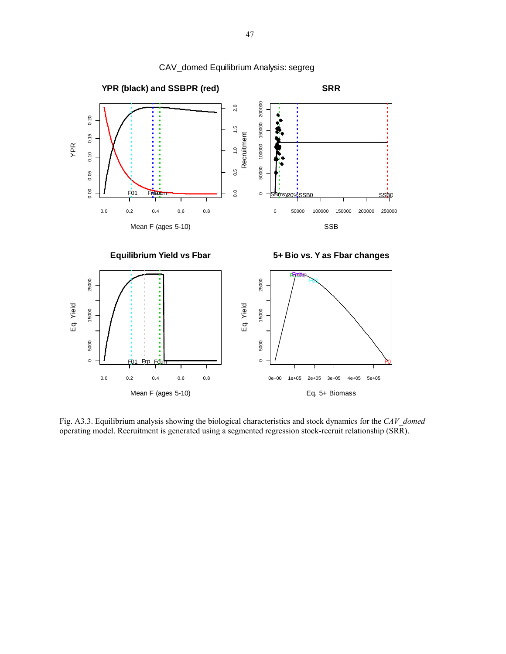

Fig. A3.3. Equilibrium analysis showing the biological characteristics and stock dynamics for the *CAV\_domed* operating model. Recruitment is generated using a segmented regression stock-recruit relationship (SRR).

CAV\_domed Equilibrium Analysis: segreg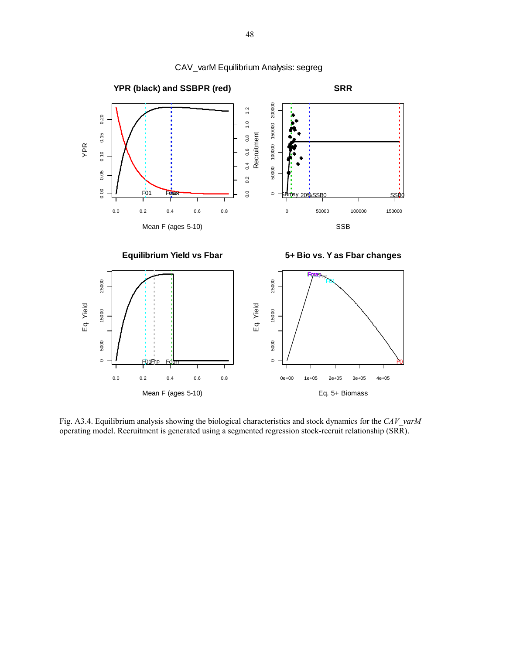

CAV\_varM Equilibrium Analysis: segreg

Fig. A3.4. Equilibrium analysis showing the biological characteristics and stock dynamics for the *CAV\_varM* operating model. Recruitment is generated using a segmented regression stock-recruit relationship (SRR).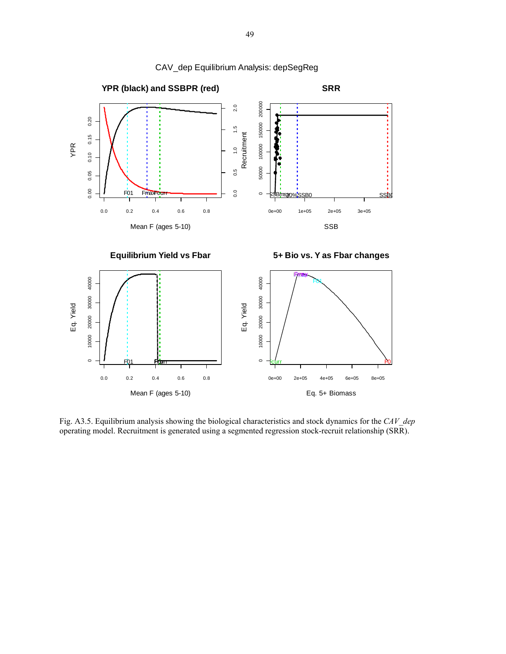

Fig. A3.5. Equilibrium analysis showing the biological characteristics and stock dynamics for the *CAV\_dep* operating model. Recruitment is generated using a segmented regression stock-recruit relationship (SRR).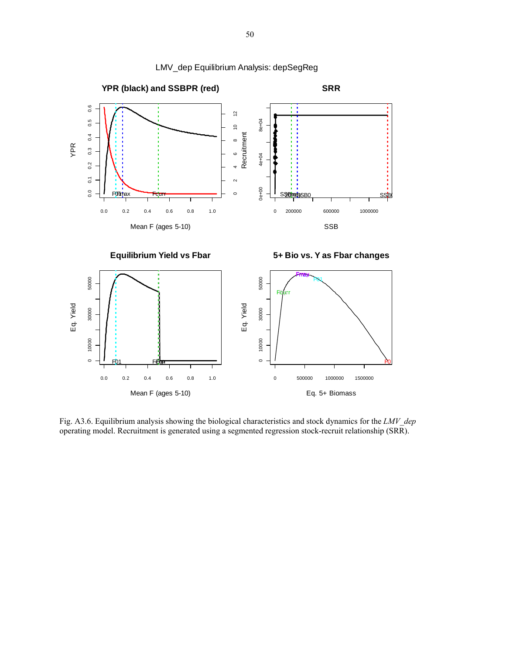

LMV\_dep Equilibrium Analysis: depSegReg

Fig. A3.6. Equilibrium analysis showing the biological characteristics and stock dynamics for the *LMV\_dep* operating model. Recruitment is generated using a segmented regression stock-recruit relationship (SRR).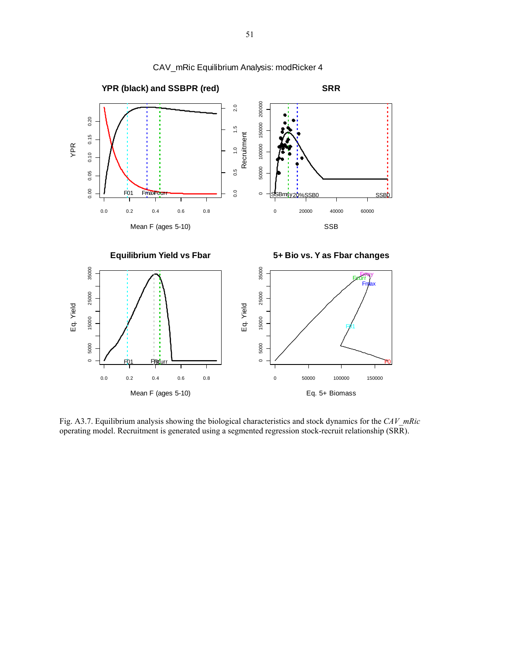

CAV\_mRic Equilibrium Analysis: modRicker 4

Fig. A3.7. Equilibrium analysis showing the biological characteristics and stock dynamics for the *CAV\_mRic* operating model. Recruitment is generated using a segmented regression stock-recruit relationship (SRR).